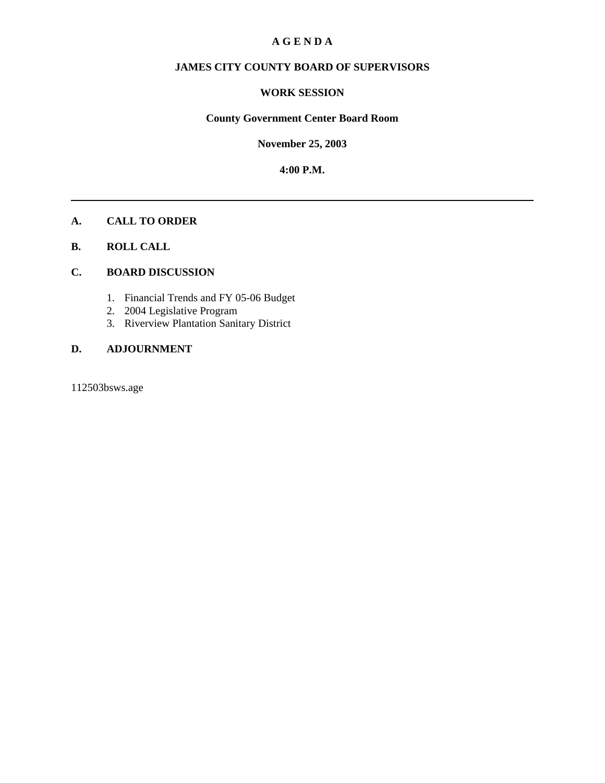## **A G E N D A**

# **JAMES CITY COUNTY BOARD OF SUPERVISORS**

#### **WORK SESSION**

#### **County Government Center Board Room**

**November 25, 2003**

**4:00 P.M.**

## **A. CALL TO ORDER**

### **B. ROLL CALL**

#### **C. BOARD DISCUSSION**

- 1. Financial Trends and FY 05-06 Budget
- 2. 2004 Legislative Program
- 3. Riverview Plantation Sanitary District

## **D. ADJOURNMENT**

112503bsws.age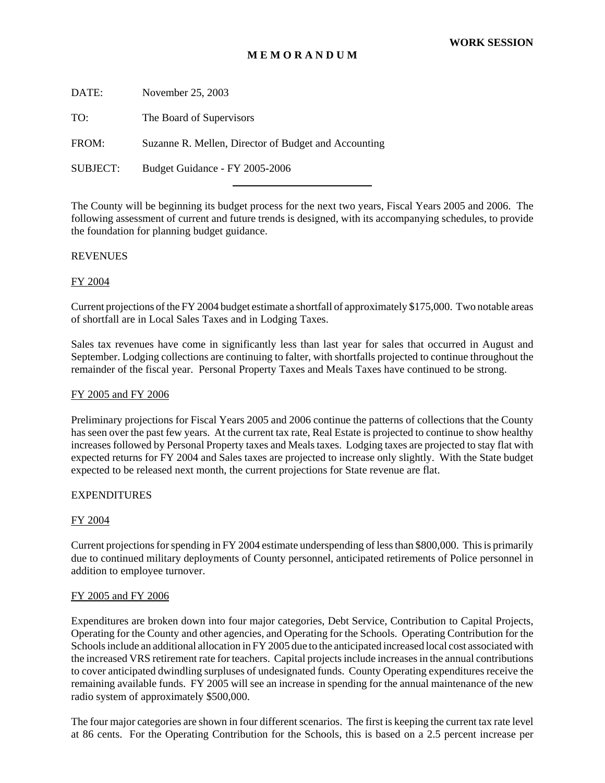### **M E M O R A N D U M**

DATE: November 25, 2003 TO: The Board of Supervisors

FROM: Suzanne R. Mellen, Director of Budget and Accounting

l

SUBJECT: Budget Guidance - FY 2005-2006

The County will be beginning its budget process for the next two years, Fiscal Years 2005 and 2006. The following assessment of current and future trends is designed, with its accompanying schedules, to provide the foundation for planning budget guidance.

#### **REVENUES**

#### FY 2004

Current projections of the FY 2004 budget estimate a shortfall of approximately \$175,000. Two notable areas of shortfall are in Local Sales Taxes and in Lodging Taxes.

Sales tax revenues have come in significantly less than last year for sales that occurred in August and September. Lodging collections are continuing to falter, with shortfalls projected to continue throughout the remainder of the fiscal year. Personal Property Taxes and Meals Taxes have continued to be strong.

#### FY 2005 and FY 2006

Preliminary projections for Fiscal Years 2005 and 2006 continue the patterns of collections that the County has seen over the past few years. At the current tax rate, Real Estate is projected to continue to show healthy increases followed by Personal Property taxes and Meals taxes. Lodging taxes are projected to stay flat with expected returns for FY 2004 and Sales taxes are projected to increase only slightly. With the State budget expected to be released next month, the current projections for State revenue are flat.

#### EXPENDITURES

#### FY 2004

Current projections for spending in FY 2004 estimate underspending of less than \$800,000. This is primarily due to continued military deployments of County personnel, anticipated retirements of Police personnel in addition to employee turnover.

#### FY 2005 and FY 2006

Expenditures are broken down into four major categories, Debt Service, Contribution to Capital Projects, Operating for the County and other agencies, and Operating for the Schools. Operating Contribution for the Schools include an additional allocation in FY 2005 due to the anticipated increased local cost associated with the increased VRS retirement rate for teachers. Capital projects include increases in the annual contributions to cover anticipated dwindling surpluses of undesignated funds. County Operating expenditures receive the remaining available funds. FY 2005 will see an increase in spending for the annual maintenance of the new radio system of approximately \$500,000.

The four major categories are shown in four different scenarios. The first is keeping the current tax rate level at 86 cents. For the Operating Contribution for the Schools, this is based on a 2.5 percent increase per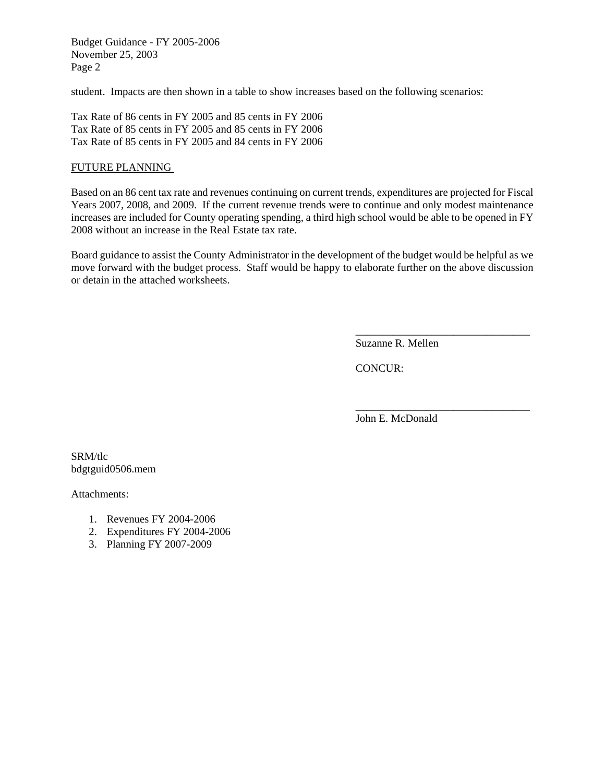Budget Guidance - FY 2005-2006 November 25, 2003 Page 2

student. Impacts are then shown in a table to show increases based on the following scenarios:

Tax Rate of 86 cents in FY 2005 and 85 cents in FY 2006 Tax Rate of 85 cents in FY 2005 and 85 cents in FY 2006 Tax Rate of 85 cents in FY 2005 and 84 cents in FY 2006

#### FUTURE PLANNING

Based on an 86 cent tax rate and revenues continuing on current trends, expenditures are projected for Fiscal Years 2007, 2008, and 2009. If the current revenue trends were to continue and only modest maintenance increases are included for County operating spending, a third high school would be able to be opened in FY 2008 without an increase in the Real Estate tax rate.

Board guidance to assist the County Administrator in the development of the budget would be helpful as we move forward with the budget process. Staff would be happy to elaborate further on the above discussion or detain in the attached worksheets.

Suzanne R. Mellen

\_\_\_\_\_\_\_\_\_\_\_\_\_\_\_\_\_\_\_\_\_\_\_\_\_\_\_\_\_\_\_\_

\_\_\_\_\_\_\_\_\_\_\_\_\_\_\_\_\_\_\_\_\_\_\_\_\_\_\_\_\_\_\_\_

CONCUR:

John E. McDonald

SRM/tlc bdgtguid0506.mem

Attachments:

- 1. Revenues FY 2004-2006
- 2. Expenditures FY 2004-2006
- 3. Planning FY 2007-2009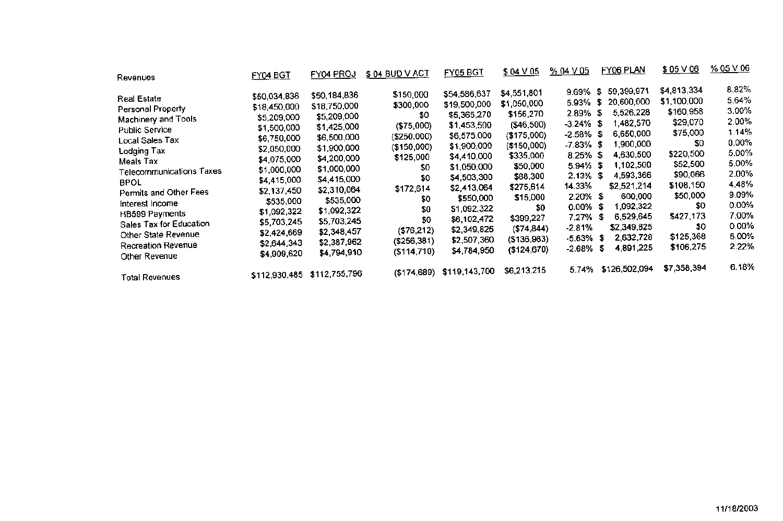| Revenues                        | FY04 BGT      | <b>FY04 PROJ</b> | \$ 04 BUD V ACT | <b>FY05 BGT</b> | $$04 \vee 05$ | % 04 V 05    |      | FY06 PLAN     | $$05 \vee 06$ | <u>% 05 V 06</u> |
|---------------------------------|---------------|------------------|-----------------|-----------------|---------------|--------------|------|---------------|---------------|------------------|
|                                 |               |                  | \$150,000       | \$54,586,637    | \$4,551,801   | 9.69%        | \$   | 59,399,971    | \$4,813,334   | 8.82%            |
| <b>Real Estate</b>              | \$50,034,836  | \$50,184,836     |                 |                 | \$1,050,000   | 5.93%        | \$   | 20,600,000    | \$1,100,000   | 5.64%            |
| Personal Property               | \$18,450,000  | \$18,750,000     | \$300,000       | \$19,500,000    |               | 2.89%        | \$   | 5,526,228     | \$160,958     | 3.00%            |
| Machinery and Tools             | \$5,209,000   | \$5,209,000      | \$0             | \$5,365,270     | \$156,270     |              |      | 1,482,570     | \$29,070      | 2.00%            |
| <b>Public Service</b>           | \$1,500,000   | \$1,425,000      | ( \$75,000)     | \$1,453,500     | (\$46,500)    | $-3.24\%$ \$ |      |               |               | 1.14%            |
| Local Sales Tax                 | \$6,750,000   | \$6,500,000      | (\$250,000)     | \$6,575,000     | (\$175,000)   | $-2.58\%$ \$ |      | 6,650,000     | \$75,000      |                  |
| Lodging Tax                     | \$2,050,000   | \$1,900,000      | ( \$150,000)    | \$1,900,000     | (\$150,000)   | $-7.83\%$ \$ |      | 1,900,000     | \$0           | $0.00\%$         |
|                                 | \$4,075,000   | \$4,200,000      | \$125,000       | \$4,410,000     | \$335,000     | $8.25\%$ \$  |      | 4,630,500     | \$220,500     | 5.00%            |
| Meals Tax                       | \$1,000,000   | \$1,000,000      | \$0             | \$1,050,000     | \$50,000      | $5.94\%$ \$  |      | 1,102,500     | \$52,500      | 5.00%            |
| <b>Telecommunications Taxes</b> | \$4,415,000   | \$4,415,000      | \$0             | \$4,503,300     | \$88,300      | $2.13\%$ \$  |      | 4,593,366     | \$90,066      | 2.00%            |
| <b>BPOL</b>                     |               | \$2,310,064      | \$172,614       | \$2,413,064     | \$275,614     | 14.33%       |      | \$2,521,214   | \$108,150     | 4.48%            |
| Permits and Other Fees          | \$2,137,450   |                  | \$0             | \$550,000       | \$15,000      | $2.20\%$ \$  |      | 600,000       | \$50,000      | 9.09%            |
| Interest Income                 | \$535,000     | \$535,000        |                 | \$1,092,322     | \$0           | $0.00\%$ \$  |      | 1,092,322     | \$0           | 0.00%            |
| <b>HB599 Payments</b>           | \$1,092,322   | \$1,092,322      | \$0             |                 | \$399,227     | $7.27\%$ \$  |      | 6,529,645     | \$427,173     | 7.00%            |
| Sales Tax for Education         | \$5,703,245   | \$5,703,245      | \$0             | \$6,102,472     |               | $-2.81%$     |      | \$2,349,825   | \$0           | $0.00\%$         |
| Other State Revenue             | \$2,424,669   | \$2,348,457      | (\$76,212)      | \$2,349,825     | ( \$74, 844)  |              |      | 2,632,728     | \$125,368     | 5.00%            |
| <b>Recreation Revenue</b>       | \$2,644,343   | \$2,387,962      | $($ \$256,381)  | \$2,507,360     | (\$136,983)   | $-5.63\%$ \$ |      |               |               | 2.22%            |
| Other Revenue                   | \$4,909,620   | \$4,794,910      | (\$114,710)     | \$4,784,950     | (\$124,670)   | -2.68%       | - 56 | 4,891,225     | \$106,275     |                  |
| <b>Total Revenues</b>           | \$112,930,485 | \$112,755,796    | ( \$174, 689)   | \$119,143,700   | \$6,213,215   | 5.74%        |      | \$126,502,094 | \$7,358,394   | 6.18%            |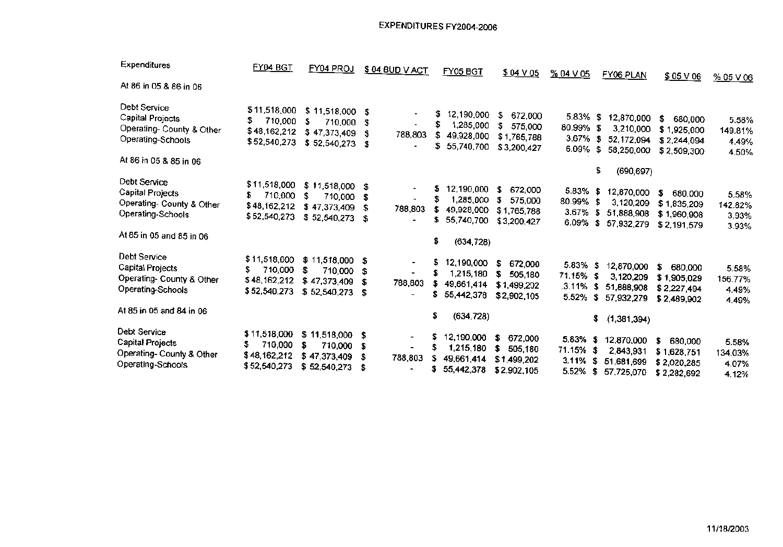# EXPENDITURES FY2004-2006

| Expenditures                                                                                                 | FY04 BGT                                                      | FY04 PROJ                                                                | \$ 04 BUD V ACT                                            | <b>FY05 BGT</b>                                                              | $$04 \vee 05$                                                | $\frac{96}{20}$ 04 V 05                             | FY06 PLAN                                                                 | $$05 \sqrt{06}$                                            | % 05 V 06                          |
|--------------------------------------------------------------------------------------------------------------|---------------------------------------------------------------|--------------------------------------------------------------------------|------------------------------------------------------------|------------------------------------------------------------------------------|--------------------------------------------------------------|-----------------------------------------------------|---------------------------------------------------------------------------|------------------------------------------------------------|------------------------------------|
| At 86 in 05 & 86 in 06                                                                                       |                                                               |                                                                          |                                                            |                                                                              |                                                              |                                                     |                                                                           |                                                            |                                    |
| Debt Service<br>Capital Projects<br>Operating- County & Other<br>Operating-Schools<br>At 86 in 05 & 85 in 06 | \$11,518,000<br>710,000<br>\$<br>\$48,162,212<br>\$52,540,273 | \$11,518,000<br>\$<br>710,000<br>\$47,373,409<br>\$52,540,273            | \$<br>\$<br>\$<br>788,803<br>\$                            | 12,190,000<br>S<br>1,285,000<br>49,928,000<br>\$.<br>55,740,700              | \$<br>672,000<br>\$<br>575,000<br>\$1,765,788<br>\$3,200,427 | 5.83% \$<br>80.99%<br>3.67%<br>6.09%                | 12,870,000<br>-\$<br>3,210,000<br>- \$<br>52,172,094<br>\$<br>58,250,000  | S.<br>680,000<br>\$1,925,000<br>\$2,244,094<br>\$2,509,300 | 5.58%<br>149.81%<br>4.49%<br>4.50% |
|                                                                                                              |                                                               |                                                                          |                                                            |                                                                              |                                                              |                                                     | \$<br>(690, 697)                                                          |                                                            |                                    |
| Debt Service<br>Capital Projects<br>Operating- County & Other<br>Operating-Schools                           | \$11,518,000<br>\$<br>710,000<br>\$48,162,212<br>\$52,540,273 | $$11,518,000$ \$<br>\$<br>710,000<br>\$47,373,409<br>\$52,540,273        | $\hat{\phantom{a}}$<br>788,803<br>\$                       | 12,190,000<br>S<br>\$<br>1,285,000<br>\$<br>49,928,000<br>\$.<br>55,740,700  | S<br>672,000<br>\$<br>575,000<br>\$1,765,788<br>\$3,200,427  | $5.83\%$ \$<br>80.99% \$<br>$3.67\%$ \$             | 12,870,000<br>3,120,209<br>51,888,908<br>6.09% \$ 57,932,279              | \$<br>680,000<br>\$1,835,209<br>\$1,960,908<br>\$2,191,579 | 5.58%<br>142.82%<br>3.93%<br>3.93% |
| At 85 in 05 and 85 in 06.                                                                                    |                                                               |                                                                          |                                                            | \$.<br>(634, 728)                                                            |                                                              |                                                     |                                                                           |                                                            |                                    |
| Debt Service<br>Capital Projects<br>Operating- County & Other<br>Operating-Schools                           | \$11,518,000<br>710,000<br>S.<br>\$48,162,212<br>\$52,540,273 | $$11,518,000$ \$<br>\$<br>710,000 \$<br>\$47,373,409<br>$$52,540,273$ \$ | $\blacksquare$<br>S<br>788,803<br>$\overline{\phantom{0}}$ | 12,190,000<br>S.<br>1,215,180<br>\$.<br>\$<br>49.661,414<br>S.<br>55,442,378 | \$<br>672,000<br>\$<br>505,180<br>\$1,499,202<br>\$2,902,105 | $5.83\%$ \$<br>$71.15\%$ \$                         | 12,870,000<br>3,120,209<br>$.3.11\%$ \$ 51,888,908<br>5.52% \$ 57,932,279 | s<br>680,000<br>\$1,905,029<br>\$2,227,494<br>\$2,489,902  | 5.58%<br>156.77%<br>4.49%<br>4.49% |
| At 85 <b>in</b> 05 and 84 in 06                                                                              |                                                               |                                                                          |                                                            | \$<br>(634, 728)                                                             |                                                              |                                                     | \$<br>(1,381,394)                                                         |                                                            |                                    |
| Debt Service<br>Capital Projects<br>Operating- County & Other<br>Dperating-Schools                           | \$11,518,000<br>710,000<br>\$48,162,212<br>\$52,540,273       | $$11,518,000$ \$<br>\$<br>710,000<br>\$47,373,409<br>\$52,540,273        | $\blacksquare$<br>- \$<br>$\sim$<br>- \$<br>788,803<br>- 5 | 12,190,000<br>\$<br>1,215,180<br>s<br>49,661,414<br>\$<br>55,442,378         | s.<br>672,000<br>S<br>505,180<br>\$1,499,202<br>\$2,902,105  | $5.83\%$ \$<br>71.15% \$<br>$3.11\%$ \$<br>5.52% \$ | 12,870,000<br>2,843,931<br>51,681,699<br>57,725,070                       | \$<br>680,000<br>\$1,628,751<br>\$2,020,285<br>\$2,282,692 | 5.58%<br>134.03%<br>4.07%<br>4.12% |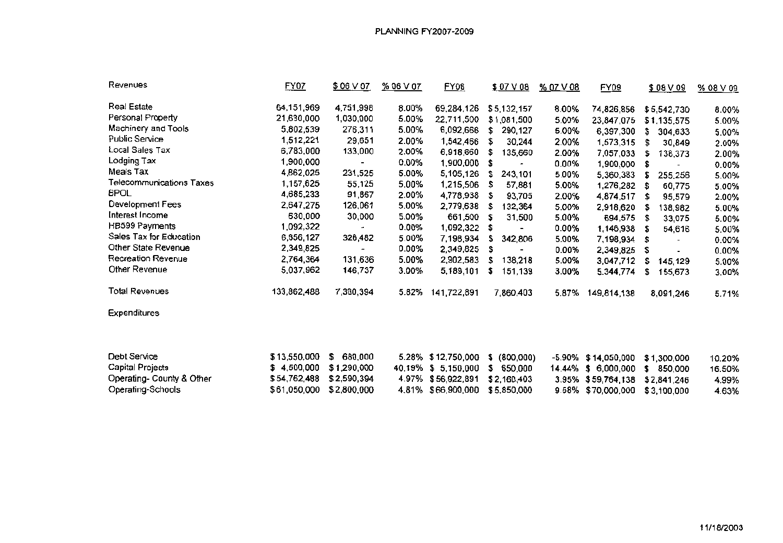# PLANNING FY2007-2009

| Revenues                  | FY07         | \$06 V 07   | %06V07    | <u>FY08</u>  | $$07 \vee 08$    | % 07 V 08 | FY09               | \$08 V 09     | $%08$ $\vee$ 09 |
|---------------------------|--------------|-------------|-----------|--------------|------------------|-----------|--------------------|---------------|-----------------|
| <b>Real Estate</b>        | 64,151,969   | 4,751,998   | $8.00\%$  | 69,284,126   | \$5,132,157      | 8.00%     | 74,826,856         | \$5,542,730   | 8.00%           |
| Personal Property         | 21,630,000   | 1,030,000   | 5.00%     | 22,711,500   | \$1,081,500      | 5.00%     | 23,847,075         | \$1,135,575   | 5.00%           |
| Machinery and Tools       | 5,802,539    | 276,311     | 5.00%     | 6,092,666    | \$<br>290,127    | 5.00%     | 6,397,300          | \$<br>304,633 | 5.00%           |
| Public Service            | 1,512,221    | 29,651      | 2.00%     | 1,542,466    | 30,244<br>\$     | 2.00%     | 1,573,315          | \$<br>30,849  | 2.00%           |
| <b>Local Sales Tax</b>    | 6,783,000    | 133,000     | 2.00%     | 6,918,660    | \$<br>135,660    | 2.00%     | 7,057,033          | \$<br>138,373 | 2.00%           |
| Lodging Tax               | 1,900,000    |             | 0.00%     | 1,900,000    | \$               | 0.00%     | 1,900,000          | \$            | 0.00%           |
| Meals Tax                 | 4,862,025    | 231,525     | 5.00%     | 5,105,126    | 243,101<br>\$    | 5.00%     | 5,360,383          | 255,256<br>\$ | 5.00%           |
| Telecommunications Taxes  | 1,157,625    | 55,125      | 5.00%     | 1,215,506    | 57,881<br>S      | 5.00%     | 1,276,282          | 60,775<br>S.  | 5.00%           |
| <b>BPOL</b>               | 4,685,233    | 91,867      | 2.00%     | 4,778,938    | 93,705<br>S      | 2.00%     | 4,874,517          | 95,579<br>\$  | 2.00%           |
| Development Fees          | 2,647,275    | 126,061     | 5.00%     | 2,779,638    | 132,364<br>S.    | 5.00%     | 2,918,620          | \$<br>138,982 | 5.00%           |
| Interest Income           | 630,000      | 30,000      | 5.00%     | 661,500      | \$<br>31,500     | 5.00%     | 694,575            | 33,075<br>\$  | 5.00%           |
| <b>HB599 Payments</b>     | 1,092,322    |             | 0.00%     | 1,092,322    | \$               | 0.00%     | 1,146,938          | \$<br>54,616  | 5.00%           |
| Sales Tax for Education   | 6,856,127    | 326,482     | 5.00%     | 7,198,934    | 342,806<br>S     | 5.00%     | 7,198,934          | \$            | 0.00%           |
| Other State Revenue       | 2,349,825    |             | 0.00%     | 2,349,825    | s                | 0.00%     | 2,349,825          | \$            | 0.00%           |
| Recreation Revenue        | 2,764,364    | 131,636     | 5.00%     | 2,902,583    | 138,218<br>\$    | 5.00%     | 3,047,712          | \$<br>145,129 | 5.00%           |
| Other Revenue             | 5,037,962    | 146,737     | 3.00%     | 5,189,101    | \$<br>151,139    | 3.00%     | 5,344,774          | \$<br>155,673 | 3.00%           |
| <b>Total Revenues</b>     | 133,862,488  | 7,360,394   | 5.82%     | 141,722,891  | 7,860,403        | 5.87%     | 149,814,138        | 8,091,246     | 5.71%           |
| <b>Expenditures</b>       |              |             |           |              |                  |           |                    |               |                 |
| <b>Debt Service</b>       | \$13,550,000 | \$680,000   | 5.28%     | \$12,750,000 | (800,000)<br>\$. | -5.90%    | \$14,050,000       | \$1,300,000   | 10.20%          |
| Capital Projects          | \$4,500,000  | \$1,290,000 | 40.19% \$ | 5,150,000    | \$.<br>650,000   | 14.44%    | \$6,000,000        | \$<br>850,000 | 16.50%          |
| Operating- County & Other | \$54,762,488 | \$2,590,394 | 4.97%     | \$56,922,891 | \$2,160,403      | 3.95%     | \$59,764,138       | \$2,841,246   | 4.99%           |
| Operating-Schools         | \$61,050,000 | \$2,800,000 | 4.81%     | \$66,900,000 | \$5,850,000      |           | 9.58% \$70,000,000 | \$3,100,000   | 4.63%           |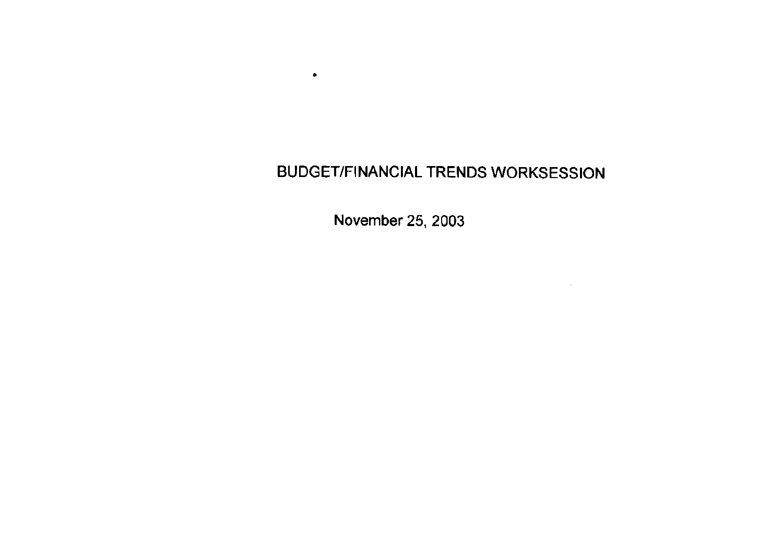# **BUDGET/FINANCIAL TRENDS WORKSESSION**

November 25, 2003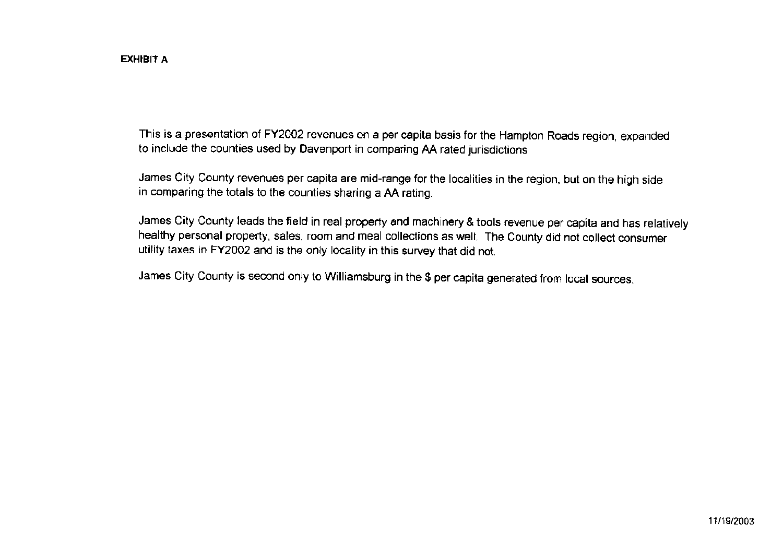This is a presentation of FY2002 revenues on a per capita basis for the Hampton Roads region, expanded to include the counties used by Davenport in comparing AA rated jurisdictions

James City County revenues per capita are mid-range for the localities in the region, but on the high side in comparing the totals to the counties sharing a AA rating.

James City County leads the field in real property and machinery & tools revenue per capita and has relatively healthy personal property, sales, room and meal collections as well. The County did not collect consumer utility taxes in FY2002 and is the only locality in this survey that did not.

James City County is second only to Williamsburg in the \$ per capita generated from local sources.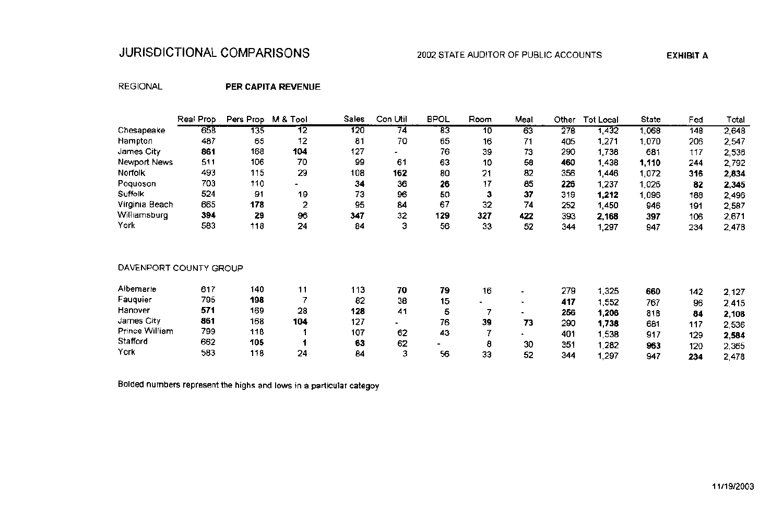# JURISDICTIONAL COMPARISONS

# 2002 STATE AUDITOR OF PUBLIC ACCOUNTS

**EXHIBIT A** 

# **REGIONAL**

# PER CAPITA REVENUE

|                        | Real Prop | Pers Prop | M & Tool | Sales | Con Util | <b>BPOL</b>     | Room           | Meal                     | Other           | <b>Tot Local</b> | State | Fed | Total          |
|------------------------|-----------|-----------|----------|-------|----------|-----------------|----------------|--------------------------|-----------------|------------------|-------|-----|----------------|
| Chesapeake             | 658       | 135       | 12       | 120   | 74       | $\overline{83}$ | 10             | 63                       | $\frac{378}{2}$ | 1,432            | 1,068 | 148 | 2,648          |
| Hampton                | 487       | 65        | 12       | 81    | 70       | 65              | 16             | 71                       | 405             | 1,271            | 1,070 | 206 | 2,547          |
| James City             | 861       | 168       | 104      | 127   |          | 76              | 39             | 73                       | 290             | 1,738            | 681   | 117 | 2,536          |
| Newport News           | 511       | 106       | 70       | 99    | 61       | 63              | 10             | 58                       | 460             | 1,438            | 1,110 | 244 | 2,792          |
| Norfolk                | 493       | 115       | 29       | 108   | 162      | 80              | 21             | 82                       | 356             | 1,446            | 1,072 | 316 | 2,834          |
| Poquoson               | 703       | 110       |          | 34    | 36       | 26              | 17             | 85                       | 226             | 1,237            | 1,026 | 82  | 2,345          |
| Suffolk                | 524       | 91        | 19       | 73    | 96       | 50              | 3              | 37                       | 319             | 1,212            | 1,096 | 188 | 2,496          |
| Virginia Beach         | 665       | 178       | 2        | 95    | 84       | 67              | 32             | 74                       | 252             | 1,450            | 946   | 191 | 2,587          |
| Williamsburg           | 394       | 29        | 96       | 347   | 32       | 129             | 327            | 422                      | 393             | 2,168            | 397   | 106 | 2,671          |
| York                   | 583       | 118       | 24       | 84    | з        | 56              | 33             | 52                       | 344             | 1,297            | 947   | 234 | 2,478          |
| DAVENPORT COUNTY GROUP |           |           |          |       |          |                 |                |                          |                 |                  |       |     |                |
| Albemarle              | 617       | 140       | 11       | 113   | 70       | 79              | 16             | $\blacksquare$           | 279             | 1,325            | 660   | 142 | 2,127          |
| Fauquier               | 795       | 198       | 7        | 82    | 38       | 15              | $\blacksquare$ | $\blacksquare$           | 417             | 1,552            | 767   | 96  | 2,415          |
| Hanover                | 571       | 169       | 28       | 128   | 41       | 5               | 7              | $\overline{\phantom{a}}$ | 256             | 1,206            | 818   | 84  | 2,108          |
| James City             | 861       | 168       | 104      | 127   | -        | 76              | 39             | 73                       | 290             | 1,738            | 681   | 117 |                |
| <b>Prince William</b>  | 799       | 118       |          | 107   | 62       | 43              | 7              |                          | 401             | 1,538            | 917   | 129 | 2,536          |
| Stafford               | 662       | 105       |          | 63    | 62       | -               | 8              | 30                       | 351             | .282             | 963   | 120 | 2,584          |
| York                   | 583       | 118       | 24       | 84    | з        | 56              | 33             | 52                       | 344             | ,297             | 947   | 234 | 2,365<br>2.478 |

Bolded numbers represent the highs and lows in a particular categoy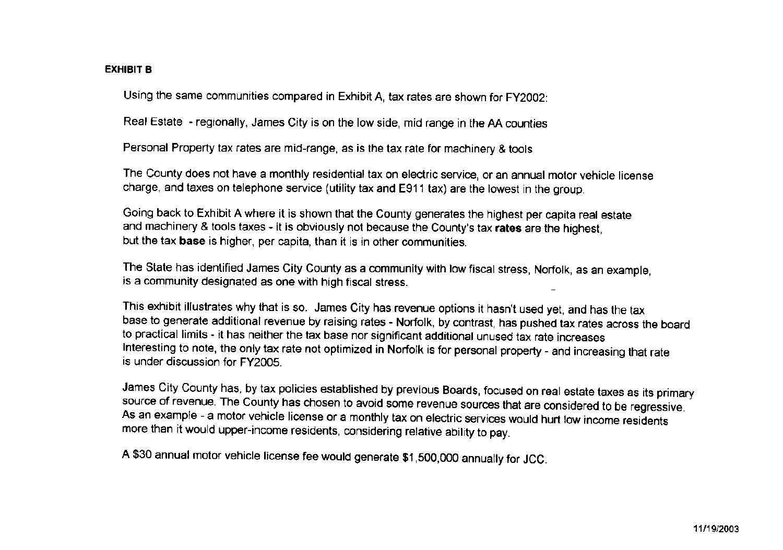# **EXHIBIT B**

Using the same communities compared in Exhibit A, tax rates are shown for FY2002:

Real Estate - regionally, James City is on the low side, mid range in the AA counties

Personal Property tax rates are mid-range, as is the tax rate for machinery & tools

The County does not have a monthly residential tax on electric service, or an annual motor vehicle license charge, and taxes on telephone service (utility tax and E911 tax) are the lowest in the group.

Going back to Exhibit A where it is shown that the County generates the highest per capita real estate and machinery & tools taxes - it is obviously not because the County's tax rates are the highest, but the tax base is higher, per capita, than it is in other communities.

The State has identified James City County as a community with low fiscal stress, Norfolk, as an example, is a community designated as one with high fiscal stress.

This exhibit illustrates why that is so. James City has revenue options it hasn't used yet, and has the tax base to generate additional revenue by raising rates - Norfolk, by contrast, has pushed tax rates across the board to practical limits - it has neither the tax base nor significant additional unused tax rate increases Interesting to note, the only tax rate not optimized in Norfolk is for personal property - and increasing that rate is under discussion for FY2005.

James City County has, by tax policies established by previous Boards, focused on real estate taxes as its primary source of revenue. The County has chosen to avoid some revenue sources that are considered to be regressive. As an example - a motor vehicle license or a monthly tax on electric services would hurt low income residents more than it would upper-income residents, considering relative ability to pay.

A \$30 annual motor vehicle license fee would generate \$1,500,000 annually for JCC.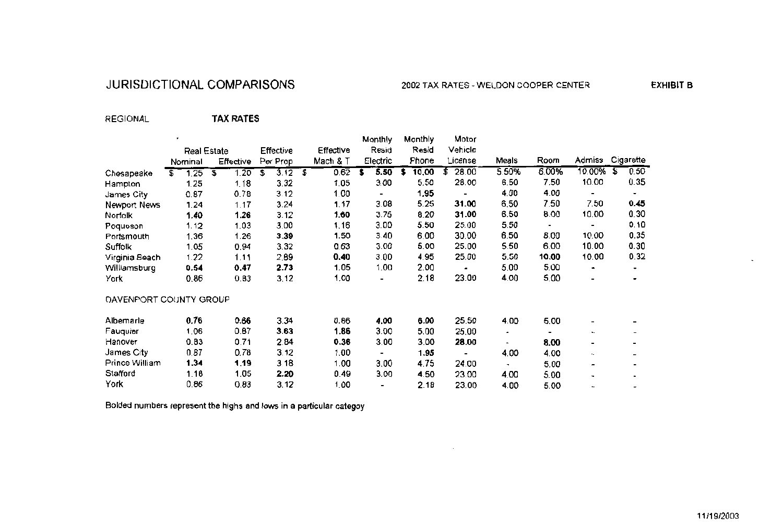# JURISDICTIONAL COMPARISONS

**EXHIBIT B** 

#### **REGIONAL TAX RATES**

|                        |                    |            |            |     |           |   | MONTHY                   | <b>MONTULA</b> |   | MOIOL          |       |       |                |   |           |
|------------------------|--------------------|------------|------------|-----|-----------|---|--------------------------|----------------|---|----------------|-------|-------|----------------|---|-----------|
|                        | <b>Real Estate</b> |            | Effective  |     | Effective |   | Resid                    | Resid          |   | Vehicle        |       |       |                |   |           |
|                        | Nominal            | Effective  | Per Prop   |     | Mach & T  |   | Electric                 | Phone          |   | License        | Meals | Room  | Admiss         |   | Cigarette |
| Chesapeake             | \$<br>1.25         | \$<br>1.20 | \$<br>3.12 | `\$ | 0.62      | S | 5.50                     | 10,00          | £ | 28.00          | 5.50% | 6.00% | 10.00%         | S | 0.50      |
| Hampton                | 1.25               | 1.18       | 3.32       |     | 1.05      |   | 3.00                     | 5.50           |   | 28.00          | 6.50  | 7.50  | 10.00          |   | 0.35      |
| James City             | 0.87               | 0.78       | 3.12       |     | 1.00      |   |                          | 1.95           |   |                | 4.00  | 4.00  | $\blacksquare$ |   | $\bullet$ |
| Newport News           | 1.24               | 1.17       | 3.24       |     | 1.17      |   | 3.08                     | 5.25           |   | 31.00          | 6.50  | 7.50  | 7.50           |   | 0.45      |
| Norfolk                | 1.40               | 1.26       | 3.12       |     | 1.60      |   | 3.75                     | 8.20           |   | 31.00          | 6.50  | 8.00  | 10.00          |   | 0.30      |
| Poquoson               | 1.12               | 1.03       | 3.00       |     | 1.16      |   | 3.00                     | 5.50           |   | 25.00          | 5.50  |       |                |   | 0.10      |
| Portsmouth             | 1,36               | 1.26       | 3.39       |     | 1.50      |   | 3.40                     | 6.00           |   | 30.00          | 6.50  | 8.00  | 10.00          |   | 0.35      |
| Suffolk                | 1.05               | 0.94       | 3.32       |     | 0.63      |   | 3.00                     | 5.00           |   | 25.00          | 5.50  | 6.00  | 10.00          |   | 0.30      |
| Virginia Beach         | 1.22               | 1.11       | 2.89       |     | 0.40      |   | 3.00                     | 4.95           |   | 25.00          | 5.50  | 10.00 | 10.00          |   | 0.32      |
| Williamsburg           | 0.54               | 0.47       | 2.73       |     | 1.05      |   | 1.00                     | 2.00           |   | $\blacksquare$ | 5.00  | 5.00  | ٠              |   | ۰.        |
| York                   | 0.86               | 0.83       | 3.12       |     | 1.00      |   |                          | 2.18           |   | 23.00          | 4.00  | 5.00  |                |   |           |
| DAVENPORT COUNTY GROUP |                    |            |            |     |           |   |                          |                |   |                |       |       |                |   |           |
| Albemarle              | 0.76               | 0.66       | 3.34       |     | 0.86      |   | 4.00                     | 6.00           |   | 25.50          | 4.00  | 5.00  |                |   |           |
| Fauquier               | 1.06               | 0.87       | 3.63       |     | 1.86      |   | 3.00                     | 5.00           |   | 25.00          |       |       |                |   |           |
| Hanover                | 0.83               | 0.71       | 2.84       |     | 0.36      |   | 3.00                     | 3.00           |   | 28.00          |       | 8.00  | ۰              |   |           |
| James City             | 0.87               | 0.78       | 3.12       |     | 1.00      |   |                          | 1.95           |   |                | 4.00  | 4.00  |                |   |           |
| Prince William         | 1.34               | 1.19       | 3.18       |     | 1.00      |   | 3.00                     | 4.75           |   | 24.00          |       | 5.00  | -              |   |           |
| Stafford               | 1.18               | 1.05       | 2.20       |     | 0.49      |   | 3.00                     | 4.50           |   | 23.00          | 4.00  | 5.00  | -              |   |           |
| York                   | 0.86               | 0.83       | 3.12       |     | 1.00      |   | $\overline{\phantom{a}}$ | 2.18           |   | 23.00          | 4.00  | 5.00  |                |   |           |

Bolded numbers represent the highs and lows in a particular categoy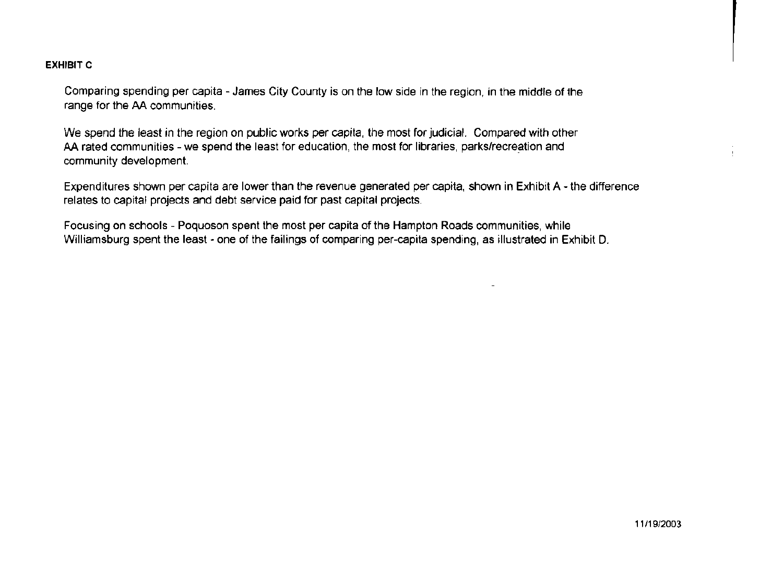# **EXHIBIT C**

Comparing spending per capita - James City County is on the low side in the region, in the middle of the range for the AA communities.

We spend the least in the region on public works per capita, the most for judicial. Compared with other AA rated communities - we spend the least for education, the most for libraries, parks/recreation and community development.

Expenditures shown per capita are lower than the revenue generated per capita, shown in Exhibit A - the difference relates to capital projects and debt service paid for past capital projects.

Focusing on schools - Poquoson spent the most per capita of the Hampton Roads communities, while Williamsburg spent the least - one of the failings of comparing per-capita spending, as illustrated in Exhibit D.

11/19/2003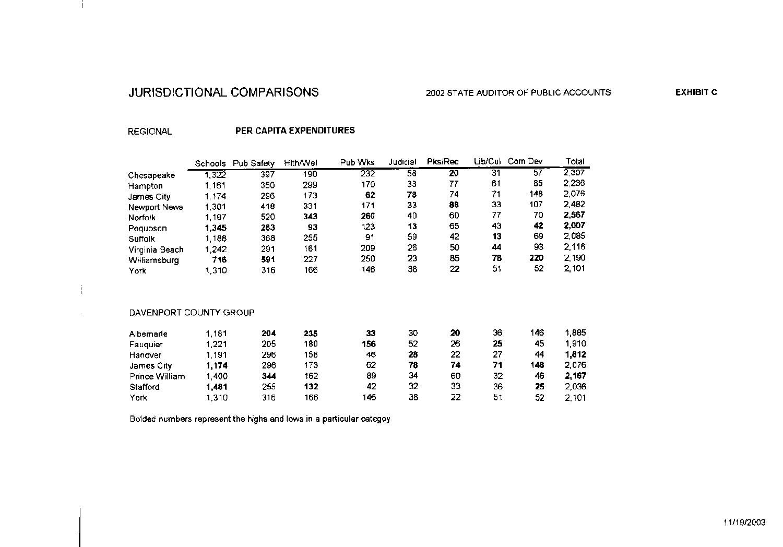# JURISDICTIONAL COMPARISONS

**EXHIBIT C** 

# **REGIONAL**

j.

# PER CAPITA EXPENDITURES

|                        | Schools | Pub Safety | <b>Hith/Wel</b> | Pub Wks | Judicial | Pks/Rec         | Lib/Cul | Com Dev | Total |
|------------------------|---------|------------|-----------------|---------|----------|-----------------|---------|---------|-------|
| Chesapeake             | 1,322   | 397        | 190             | 232     | 58       | $\overline{20}$ | 31      | 57      | 2,307 |
| Hampton                | 1,161   | 350        | 299             | 170     | 33       | 77              | 61      | 85      | 2,236 |
| James City             | 1,174   | 296        | 173             | 62      | 78       | 74              | 71      | 148     | 2,076 |
| Newport News           | 1,301   | 418        | 331             | 171     | 33       | 88              | 33      | 107     | 2,482 |
| Norfolk                | 1,197   | 520        | 343             | 260     | 40       | 60              | 77      | 70      | 2,567 |
| Poquoson               | 1,345   | 283        | 93              | 123     | 13       | 65              | 43      | 42      | 2,007 |
| Suffolk                | 1,188   | 368        | 255             | 91      | 59       | 42              | 13      | 69      | 2,085 |
| Virginia Beach         | 1,242   | 291        | 161             | 209     | 26       | 50              | 44      | 93      | 2,116 |
| Williamsburg           | 716     | 591        | 227             | 250     | 23       | 85              | 78      | 220     | 2,190 |
| York                   | 1,310   | 316        | 166             | 146     | 38       | 22              | 51      | 52      | 2,101 |
| DAVENPORT COUNTY GROUP |         |            |                 |         |          |                 |         |         |       |
|                        |         |            |                 |         |          |                 |         |         |       |
| Albemarle              | 1,181   | 204        | 235             | 33      | 30       | 20              | 36      | 146     | 1,885 |
| Fauquier               | 1,221   | 205        | 180             | 156     | 52       | 26              | 25      | 45      | 1,910 |
| Hanover                | 1,191   | 296        | 158             | 46      | 28       | 22              | 27      | 44      | 1,812 |
| James City             | 1,174   | 296        | 173             | 62      | 78       | 74              | 71      | 148     | 2,076 |
| Prince William         | 1,400   | 344        | 162             | 89      | 34       | 60              | 32      | 46      | 2,167 |
| Stafford               | 1,481   | 255        | 132             | 42      | 32       | 33              | 36      | 25      | 2,036 |
| York                   | 1,310   | 316        | 166             | 146     | 38       | 22              | 51      | 52      | 2,101 |

Bolded numbers represent the highs and lows in a particular categoy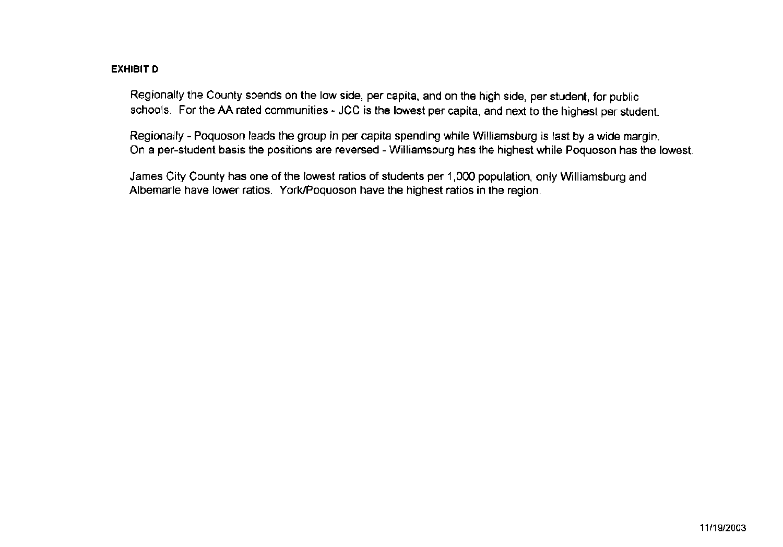# **EXHIBIT D**

Regionally the County spends on the low side, per capita, and on the high side, per student, for public schools. For the AA rated communities - JCC is the lowest per capita, and next to the highest per student.

Regionally - Poquoson leads the group in per capita spending while Williamsburg is last by a wide margin. On a per-student basis the positions are reversed - Williamsburg has the highest while Poquoson has the lowest.

James City County has one of the lowest ratios of students per 1,000 population, only Williamsburg and Albemarle have lower ratios. York/Poquoson have the highest ratios in the region.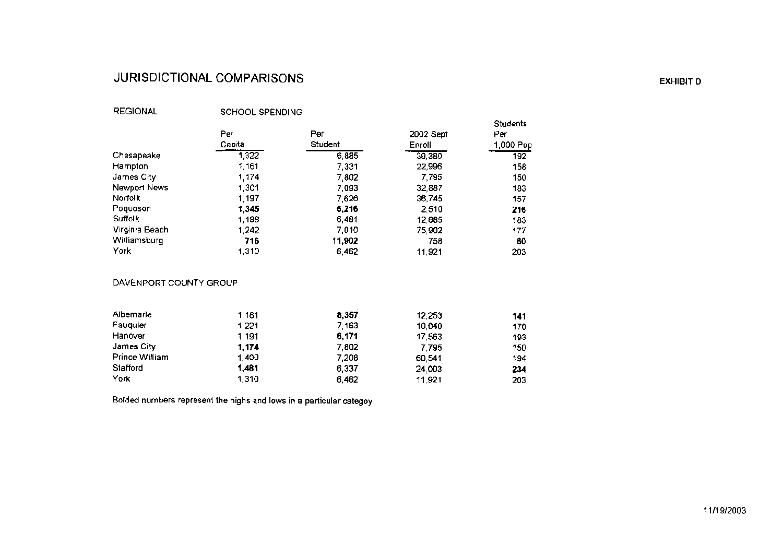# JURISDICTIONAL COMPARISONS

# **REGIONAL**

SCHOOL SPENDING

|                |        |                |           | <b>Students</b> |
|----------------|--------|----------------|-----------|-----------------|
|                | Per    | Per            | 2002 Sept | Per             |
|                | Capita | <b>Student</b> | Enroll    | 1,000 Pop       |
| Chesapeake     | 1,322  | 6,885          | 39,380    | 192             |
| Hampton        | 1,161  | 7,331          | 22,996    | 158             |
| James City     | 1,174  | 7,802          | 7,795     | 150             |
| Newport News   | 1,301  | 7,093          | 32,887    | 183             |
| Norfolk        | 1,197  | 7,626          | 36,745    | 157             |
| Poquoson       | 1,345  | 6,216          | 2,510     | 216             |
| Suffolk        | 1,188  | 6,481          | 12,685    | 183             |
| Virginia Beach | 1,242  | 7,010          | 75,902    | 177             |
| Williamsburg   | 716    | 11,902         | 758       | 60              |
| York           | 1,310  | 6,462          | 11,921    | 203             |

# DAVENPORT COUNTY GROUP

| Albemarle      | 1,181 | 8,357 | 12,253 | 141 |
|----------------|-------|-------|--------|-----|
| Fauguier       | 1,221 | 7,163 | 10,040 | 170 |
| Hanover        | 1,191 | 6,171 | 17,563 | 193 |
| James City     | 1,174 | 7,802 | 7,795  | 150 |
| Prince William | 1,400 | 7,208 | 60,541 | 194 |
| Stafford       | 1,481 | 6,337 | 24,003 | 234 |
| York           | 1,310 | 6,462 | 11,921 | 203 |

Bolded numbers represent the highs and lows in a particular categoy

**EXHIBIT D**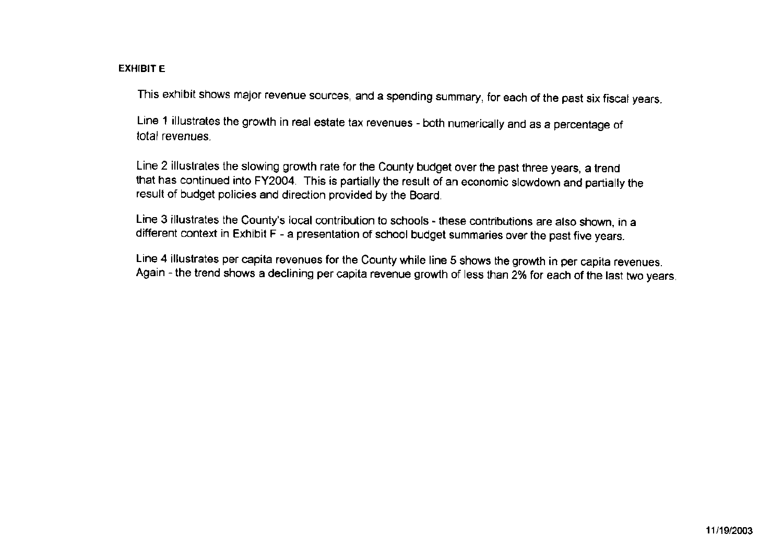# **EXHIBIT E**

This exhibit shows major revenue sources, and a spending summary, for each of the past six fiscal years.

Line 1 illustrates the growth in real estate tax revenues - both numerically and as a percentage of total revenues.

Line 2 illustrates the slowing growth rate for the County budget over the past three years, a trend that has continued into FY2004. This is partially the result of an economic slowdown and partially the result of budget policies and direction provided by the Board.

Line 3 illustrates the County's local contribution to schools - these contributions are also shown, in a different context in Exhibit F - a presentation of school budget summaries over the past five years.

Line 4 illustrates per capita revenues for the County while line 5 shows the growth in per capita revenues. Again - the trend shows a declining per capita revenue growth of less than 2% for each of the last two years.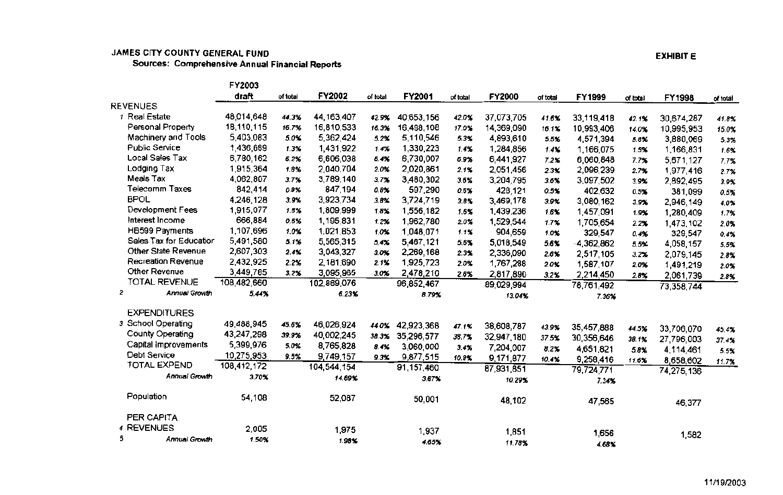# JAMES CITY COUNTY GENERAL FUND

Sources: Comprehensive Annual Financial Reports

|   |                           | FY2003      |          |               |          |              |          |            |          |            |          |            |          |
|---|---------------------------|-------------|----------|---------------|----------|--------------|----------|------------|----------|------------|----------|------------|----------|
|   |                           | draft       | of total | <b>FY2002</b> | of total | FY2001       | of total | FY2000     | of total | FY1999     | of total | FY1998     | of total |
|   | <b>REVENUES</b>           |             |          |               |          |              |          |            |          |            |          |            |          |
|   | Real Estate               | 48,014,648  | 44.3%    | 44, 163, 407  | 42.9%    | 40,653,156   | 42.0%    | 37,073,705 | 41.6%    | 33,119,418 | 42.1%    | 30,674,287 | 41.8%    |
|   | Personal Property         | 18,110,115  | 16.7%    | 16,810,533    | 16.3%    | 16,498,108   | 17.0%    | 14,369,090 | 16.1%    | 10,993,406 | 14.0%    | 10,995,953 | 15.0%    |
|   | Machinery and Tools       | 5,403,083   | 5.0%     | 5,362,424     | 5.2%     | 5,110,546    | 5.3%     | 4,893,610  | 5.5%     | 4,571,394  | 5.8%     | 3,880,069  | 5.3%     |
|   | <b>Public Service</b>     | 1,436,689   | 1.3%     | 1,431,922     | 1.4%     | 1,330,223    | 1.4%     | 1,284,856  | 1.4%     | 1,166,075  | 1.5%     | 1,166,831  | 1.6%     |
|   | Local Sales Tax           | 6,780,162   | 6.2%     | 6,606,038     | 6.4%     | 6,730,007    | 6.9%     | 6,441,927  | 7.2%     | 6,060,848  | 7.7%     | 5,671,127  | 7.7%     |
|   | Lodging Tax               | 1,915,364   | 1.8%     | 2,040,704     | 2.0%     | 2,020,861    | 2.1%     | 2,051,456  | 2.3%     | 2,096,239  | 2.7%     | 1,977,416  | 2.7%     |
|   | Meals Tax                 | 4,062,807   | 3.7%     | 3,789,140     | 3.7%     | 3,480,302    | 3.6%     | 3,204,795  | 3.6%     | 3,097,502  | 3.9%     | 2,892,495  | 3.9%     |
|   | Telecomm Taxes            | 842,414     | 0.8%     | 847,194       | 0.8%     | 597,290      | 0.6%     | 428,121    | 0.5%     | 402,632    | 0.5%     | 381,099    | 0.5%     |
|   | <b>BPOL</b>               | 4,246,128   | 3.9%     | 3,923,734     | 3.8%     | 3,724,719    | 3.8%     | 3,469,178  | 3.9%     | 3,080,162  | 3.9%     | 2,946,149  | 4.0%     |
|   | Development Fees          | 1,915,077   | 1.8%     | 1,809,999     | 1.8%     | 1,556,182    | 1.6%     | 1,439,236  | 1.6%     | 1,457,091  | 1.9%     | 1,280,409  | 1.7%     |
|   | Interest Income           | 666,884     | 0.6%     | 1,195,831     | 1.2%     | 1,962,780    | 2.0%     | 1,529,544  | 1.7%     | 1,705,654  | 2.2%     | 1,473,102  | 2.0%     |
|   | HB599 Payments            | 1,107,696   | 1.0%     | 1,021,853     | 1.0%     | 1,048,071    | 1.1%     | 904,659    | 1.0%     | 329,547    | 0.4%     | 329,547    | 0.4%     |
|   | Sales Tax for Education   | 5,491,580   | 5.1%     | 5,565,315     | 5.4%     | 5,467,121    | 5.6%     | 5,018,549  | 5.6%     | -4,362,862 | 5.5%     | 4,058,157  | 5.5%     |
|   | Other State Revenue       | 2,607,303   | 2.4%     | 3,043,327     | 3.0%     | 2,269,168    | 2.3%     | 2,336,090  | 2.6%     | 2,517,105  | 3.2%     | 2,079,145  | 2.8%     |
|   | <b>Recreation Revenue</b> | 2,432,925   | 2.2%     | 2,181,690     | 2.1%     | 1,925,723    | 2.0%     | 1,767,288  | 2.0%     | 1,587,107  | 2.0%     | 1,491,219  | 2.0%     |
|   | Other Revenue             | 3,449,785   | 3.2%     | 3,095,965     | 3.0%     | 2,478,210    | 2.6%     | 2,817,890  | 3.2%     | 2,214,450  | 2.8%     | 2,061,739  | 2.8%     |
|   | TOTAL REVENUE             | 108,482,660 |          | 102,889,076   |          | 96,852,467   |          | 89,029,994 |          | 78,761,492 |          | 73,358,744 |          |
| 2 | <b>Annual Growth</b>      | 5.44%       |          | 6.23%         |          | 8.79%        |          | 13.04%     |          | 7.36%      |          |            |          |
|   |                           |             |          |               |          |              |          |            |          |            |          |            |          |
|   | <b>EXPENDITURES</b>       |             |          |               |          |              |          |            |          |            |          |            |          |
|   | 3 School Operating        | 49,488,945  | 45.6%    | 46,026,924    | 44.0%    | 42,923,368   | 47.1%    | 38,608,787 | 43.9%    | 35,457,888 | 44.5%    | 33,706,070 | 45.4%    |
|   | County Operating          | 43,247,298  | 39.9%    | 40,002,245    | 38.3%    | 35,296,577   | 38.7%    | 32,947,180 | 37.5%    | 30,356,646 | 38.1%    | 27,796,003 | 37.4%    |
|   | Capital Improvements      | 5,399,976   | 5.0%     | 8,765,828     | 8.4%     | 3,060,000    | 3.4%     | 7,204,007  | 8.2%     | 4,651,821  | 5.8%     | 4,114,461  | 5.5%     |
|   | Debt Service              | 10,275,953  | 9.5%     | 9,749,157     | 9.3%     | 9,877,515    | 10.8%    | 9,171,877  | 10.4%    | 9,258,416  | 11.6%    | 8,658,602  | 11.7%    |
|   | TOTAL EXPEND              | 108,412,172 |          | 104,544,154   |          | 91, 157, 460 |          | 87,931,851 |          | 79,724,771 |          | 74,275,136 |          |
|   | <b>Annual Growth</b>      | 3.70%       |          | 14.69%        |          | 3.67%        |          | 10.29%     |          | 7.34%      |          |            |          |
|   |                           |             |          |               |          |              |          |            |          |            |          |            |          |
|   | Population                | 54,108      |          | 52,087        |          | 50,001       |          | 48,102     |          | 47,565     |          | 46,377     |          |
|   |                           |             |          |               |          |              |          |            |          |            |          |            |          |
|   | PER CAPITA                |             |          |               |          |              |          |            |          |            |          |            |          |
|   | 4 REVENUES                | 2,005       |          | 1,975         |          | 1,937        |          | 1,851      |          | 1,656      |          | 1,582      |          |
| 5 | <b>Annual Growth</b>      | 1.50%       |          | $1.98$ X      |          | 4.65%        |          | 11.78%     |          | 4.68%      |          |            |          |

**EXHIBIT E**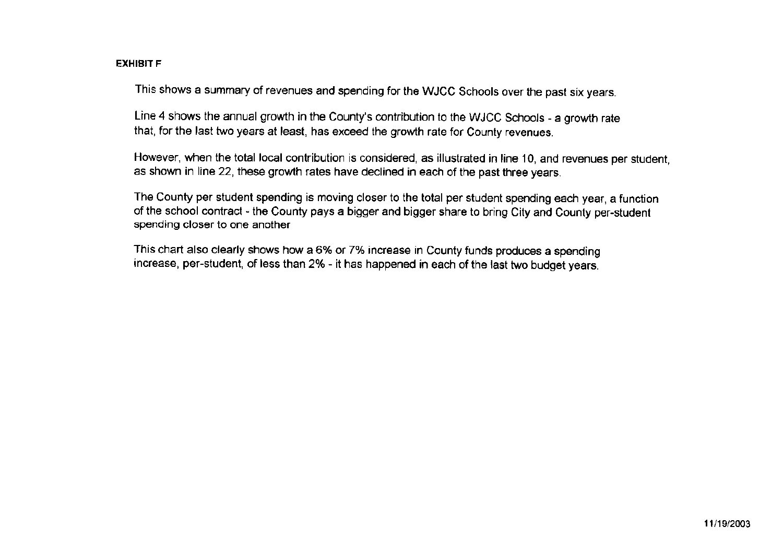# **EXHIBIT F**

This shows a summary of revenues and spending for the WJCC Schools over the past six years.

Line 4 shows the annual growth in the County's contribution to the WJCC Schools - a growth rate that, for the last two years at least, has exceed the growth rate for County revenues.

However, when the total local contribution is considered, as illustrated in line 10, and revenues per student, as shown in line 22, these growth rates have declined in each of the past three years.

The County per student spending is moving closer to the total per student spending each year, a function of the school contract - the County pays a bigger and bigger share to bring City and County per-student spending closer to one another

This chart also clearly shows how a 6% or 7% increase in County funds produces a spending increase, per-student, of less than 2% - it has happened in each of the last two budget years.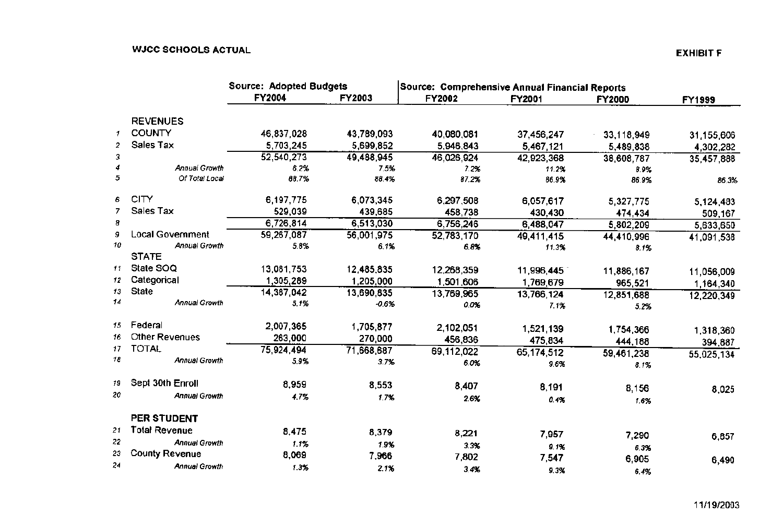|    |                       | <b>Source: Adopted Budgets</b> |               | Source: Comprehensive Annual Financial Reports |            |                    |               |
|----|-----------------------|--------------------------------|---------------|------------------------------------------------|------------|--------------------|---------------|
|    |                       | <b>FY2004</b>                  | <b>FY2003</b> | <b>FY2002</b>                                  | FY2001     | <b>FY2000</b>      | <b>FY1999</b> |
|    | <b>REVENUES</b>       |                                |               |                                                |            |                    |               |
| 1  | <b>COUNTY</b>         | 46,837,028                     | 43,789,093    | 40,080,081                                     | 37,456,247 | 33,118,949         | 31,155,606    |
| 2  | Sales Tax             | 5,703,245                      | 5,699,852     | 5,946,843                                      | 5,467,121  | 5,489,838          | 4,302,282     |
| 3  |                       | 52,540,273                     | 49,488,945    | 46,026,924                                     | 42,923,368 | 38,608,787         | 35,457,888    |
|    | Annual Growth         | 6.2%                           | 7.5%          | 7.2%                                           | 11.2%      | 8.9%               |               |
| 5  | Of Total Local        | 88.7%                          | 88.4%         | 87.2%                                          | 86.9%      | 86.9%              | 86.3%         |
| 6  | <b>CITY</b>           | 6,197,775                      | 6,073,345     | 6,297,508                                      | 6,057,617  | 5,327,775          | 5,124,483     |
|    | Sales Tax             | 529,039                        | 439,685       | 458,738                                        | 430,430    | 474,434            | 509,167       |
| 8  |                       | 6,726,814                      | 6,513,030     | 6,756,246                                      | 6,488,047  | 5,802,209          | 5,633,650     |
| 9  | Local Government      | 59,267,087                     | 56,001,975    | 52,783,170                                     | 49,411,415 | 44,410,996         | 41,091,538    |
| 10 | <b>Annual Growth</b>  | 5.8%                           | 6.1%          | 6.8%                                           | 11.3%      | 8.1%               |               |
|    | <b>STATE</b>          |                                |               |                                                |            |                    |               |
| 11 | State SOQ             | 13,081,753                     | 12,485,835    | 12,268,359                                     | 11,996,445 | 11,886,167         | 11,056,009    |
| 12 | Categorical           | 1,305,289                      | 1,205,000     | 1,501,606                                      | 1,769,679  | 965,521            | 1,164,340     |
| 13 | <b>State</b>          | 14,387,042                     | 13,690,835    | 13,769,965                                     | 13,766,124 | 12,851,688         | 12,220,349    |
| 14 | <b>Annual Growth</b>  | 5.1%                           | $-0.6%$       | 0.0%                                           | 7.1%       | 5.2%               |               |
| 15 | Federal               | 2,007,365                      | 1,705,877     | 2,102,051                                      | 1,521,139  | 1,754,366          |               |
| 16 | Other Revenues        | 263,000                        | 270,000       | 456,836                                        | 475,834    |                    | 1,318,360     |
| 17 | TOTAL                 | 75,924,494                     | 71,668,687    | 69,112,022                                     | 65,174,512 | 444,188            | 394,887       |
| 18 | Annual Growth         | 5.9%                           | 3.7%          | 6.0%                                           | 9.6%       | 59,461,238<br>8.1% | 55,025,134    |
| 19 | Sept 30th Enroll      | 8,959                          | 8,553         | 8,407                                          |            |                    |               |
| 20 | <b>Annual Growth</b>  | 4.7%                           | 1.7%          |                                                | 8,191      | 8,156              | 8,025         |
|    |                       |                                |               | 2.6%                                           | 0.4%       | 1.6%               |               |
|    | PER STUDENT           |                                |               |                                                |            |                    |               |
| 21 | <b>Total Revenue</b>  | 8,475                          | 8,379         | 8,221                                          | 7,957      | 7,290              |               |
| 22 | <b>Annual Growth</b>  | 1.1%                           | 1.9%          | 3.3%                                           | 9.1%       | 6.3%               | 6,857         |
| 23 | <b>County Revenue</b> | 8,069                          | 7,966         | 7,802                                          | 7,547      | 6,905              |               |
| 24 | <b>Annual Growth</b>  | 1.3%                           | 2.1%          | 3.4%                                           | 9.3%       | 6.4%               | 6,490         |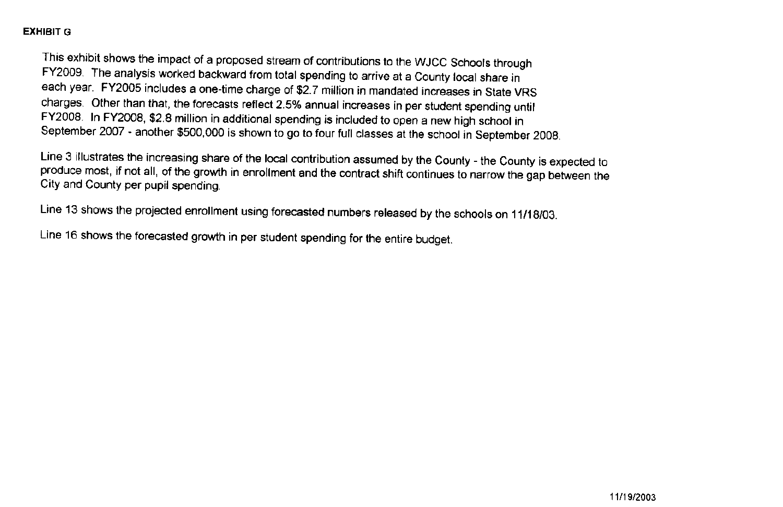# **EXHIBIT G**

This exhibit shows the impact of a proposed stream of contributions to the WJCC Schools through FY2009. The analysis worked backward from total spending to arrive at a County local share in each year. FY2005 includes a one-time charge of \$2.7 million in mandated increases in State VRS charges. Other than that, the forecasts reflect 2.5% annual increases in per student spending until FY2008. In FY2008, \$2.8 million in additional spending is included to open a new high school in September 2007 - another \$500,000 is shown to go to four full classes at the school in September 2008.

Line 3 illustrates the increasing share of the local contribution assumed by the County - the County is expected to produce most, if not all, of the growth in enrollment and the contract shift continues to narrow the gap between the City and County per pupil spending.

Line 13 shows the projected enrollment using forecasted numbers released by the schools on 11/18/03.

Line 16 shows the forecasted growth in per student spending for the entire budget.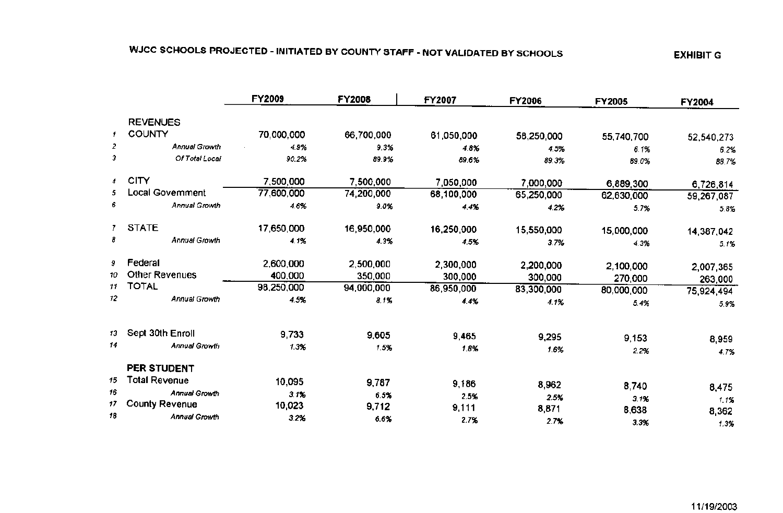# WJCC SCHOOLS PROJECTED - INITIATED BY COUNTY STAFF - NOT VALIDATED BY SCHOOLS

|                |                       | <b>FY2009</b> | <b>FY2008</b> | <b>FY2007</b> | <b>FY2006</b> | FY2005     | FY2004     |
|----------------|-----------------------|---------------|---------------|---------------|---------------|------------|------------|
|                | <b>REVENUES</b>       |               |               |               |               |            |            |
| 1              | <b>COUNTY</b>         | 70,000,000    | 66,700,000    | 61,050,000    | 58,250,000    | 55,740,700 | 52,540,273 |
| 2              | Annual Growth         | 4.9%          | 9.3%          | 4.8%          | 4.5%          | 6.1%       | 6.2%       |
| э              | Of Total Local        | 90.2%         | 89.9%         | 89.6%         | 89.3%         | 89.0%      | 88.7%      |
| $\overline{4}$ | <b>CITY</b>           | 7,500,000     | 7,500,000     | 7,050,000     | 7,000,000     | 6,889,300  | 6,726,814  |
| 5.             | Local Government      | 77,600,000    | 74,200,000    | 68,100,000    | 65,250,000    | 62,630,000 | 59,267,087 |
| 6              | Annual Growth         | 4.6%          | 9.0%          | 4.4%          | 4.2%          | 5.7%       | 5.8%       |
|                | 7 STATE               | 17,650,000    | 16,950,000    | 16,250,000    | 15,550,000    | 15,000,000 | 14,387,042 |
| ₿              | <b>Annual Growth</b>  | 4.1%          | 4.3%          | 4.5%          | 3.7%          | 4.3%       | 5.1%       |
| 9.             | Federal               | 2,600,000     | 2,500,000     | 2,300,000     | 2,200,000     | 2,100,000  | 2,007,365  |
| 10             | <b>Other Revenues</b> | 400,000       | 350,000       | 300,000       | 300,000       | 270,000    | 263,000    |
| 11             | <b>TOTAL</b>          | 98,250,000    | 94,000,000    | 86,950,000    | 83,300,000    | 80,000,000 | 75,924,494 |
| 12             | Annual Growth         | 4.5%          | 8.1%          | 4.4%          | 4.1%          | 5.4%       | 5.9%       |
| 13             | Sept 30th Enroll      |               |               |               |               |            |            |
| 14             | <b>Annual Growth</b>  | 9,733         | 9,605         | 9,465         | 9,295         | 9,153      | 8,959      |
|                |                       | 1.3%          | 1.5%          | 1.8%          | 1.6%          | 2.2%       | 4.7%       |
|                | PER STUDENT           |               |               |               |               |            |            |
| 15             | <b>Total Revenue</b>  | 10,095        | 9,787         | 9,186         | 8,962         | 8,740      | 8,475      |
| 16             | <b>Annual Growth</b>  | 3.1%          | 6.5%          | 2.5%          | 2.5%          | 3.1%       | 1.1%       |
| 17             | <b>County Revenue</b> | 10,023        | 9,712         | 9,111         | 8,871         | 8,638      | 8,362      |
| 18             | Annual Growth         | 3.2%          | 6.6%          | 2.7%          | 2.7%          | 3.3%       | 1.3%       |

# **EXHIBIT G**

11/19/2003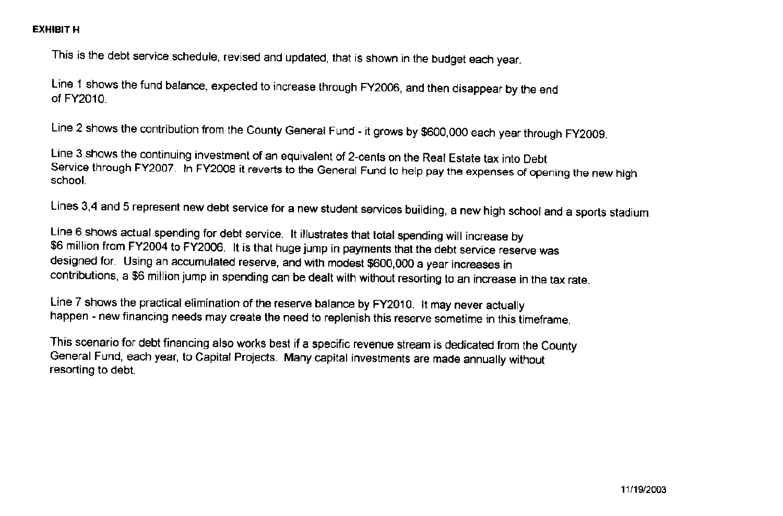# **EXHIBIT H**

This is the debt service schedule, revised and updated, that is shown in the budget each year.

Line 1 shows the fund balance, expected to increase through FY2006, and then disappear by the end of FY2010.

Line 2 shows the contribution from the County General Fund - it grows by \$600,000 each year through FY2009.

Line 3 shows the continuing investment of an equivalent of 2-cents on the Real Estate tax into Debt Service through FY2007. In FY2008 it reverts to the General Fund to help pay the expenses of opening the new high school.

Lines 3,4 and 5 represent new debt service for a new student services building, a new high school and a sports stadium.

Line 6 shows actual spending for debt service. It illustrates that total spending will increase by \$6 million from FY2004 to FY2006. It is that huge jump in payments that the debt service reserve was designed for. Using an accumulated reserve, and with modest \$600,000 a year increases in contributions, a \$6 million jump in spending can be dealt with without resorting to an increase in the tax rate.

Line 7 shows the practical elimination of the reserve balance by FY2010. It may never actually happen - new financing needs may create the need to replenish this reserve sometime in this timeframe.

This scenario for debt financing also works best if a specific revenue stream is dedicated from the County General Fund, each year, to Capital Projects. Many capital investments are made annually without resorting to debt.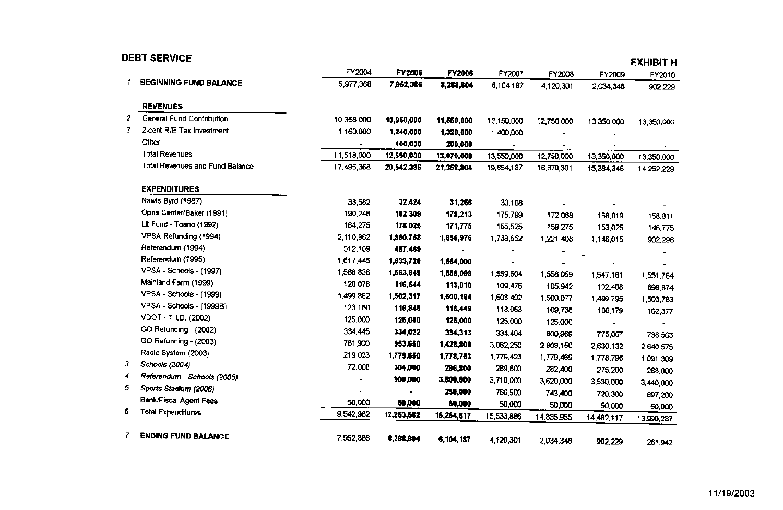|    | <b>DEBT SERVICE</b>                    |                |            |             |            |            |            | <b>EXHIBIT H</b>     |
|----|----------------------------------------|----------------|------------|-------------|------------|------------|------------|----------------------|
|    |                                        | FY2004         | FY2005     | FY2006      | FY2007     | FY2008     | FY2009     | FY2010               |
|    | <b>BEGINNING FUND BALANCE</b>          | 5,977,368      | 7,962,386  | 8,288,804   | 6,104,187  | 4,120,301  | 2,034,346  | 902,229              |
|    | <b>REVENUES</b>                        |                |            |             |            |            |            |                      |
| 2  | General Fund Contribution              | 10,358,000     | 10,950,000 | 11,550,000  | 12,150,000 | 12,750,000 | 13,350,000 | 13,350,000           |
| з. | 2-cent R/E Tax Investment              | 1,160,000      | 1,240,000  | 1,320,000   | 1,400,000  |            |            |                      |
|    | Other                                  |                | 400,000    | 200,000     |            |            |            |                      |
|    | Total Revenues                         | 11,518,000     | 12,590,000 | 13,070,000  | 13,550,000 | 12,750,000 | 13,350,000 | 13,350,000           |
|    | <b>Total Revenues and Fund Balance</b> | 17,495,368     | 20,542,386 | 21,358,804  | 19,654,187 | 16,870,301 | 15,384,346 | 14,252,229           |
|    | <b>EXPENDITURES</b>                    |                |            |             |            |            |            |                      |
|    | Rawls Byrd (1987)                      | 33,582         | 32,424     | 31,266      | 30,108     |            |            |                      |
|    | Opns Center/Baker (1991)               | 190,246        | 182,309    | 179,213     | 175,799    | 172,068    | 168,019    | 158,811              |
|    | Lit Fund - Toano (1992)                | 184,275        | 178,025    | 171,775     | 165,525    | 159,275    | 153,025    | 146,775              |
|    | VPSA Refunding (1994)                  | 2,110,962      | 1,990,758  | 1,856,976   | 1,739,652  | 1,221,408  | 1,146,015  | 902,296              |
|    | Referendum (1994)                      | 512,169        | 487,469    |             |            |            |            |                      |
|    | Referendum (1995)                      | 1,617,445      | 1,633,720  | 1,664,000   |            |            |            |                      |
|    | VPSA - Schools - (1997)                | 1,568,836      | 1,663,849  | 1,558,099   | 1,559,604  | 1,558,059  | 1,547,181  | 1,551,784            |
|    | Mainland Farm (1999)                   | 120,078        | 116,544    | 113,010     | 109,476    | 105,942    | 102,408    | 698,874              |
|    | VPSA - Schools - (1999)                | 1,499,862      | 1,502,317  | 1,500,164   | 1,503,492  | 1,500,077  | 1,499,795  | 1,503,783            |
|    | VPSA - Schools - (1999B)               | 123,160        | 119,845    | 116,449     | 113,053    | 109,738    | 106,179    | 102,377              |
|    | VDOT - T.I.D. (2002)                   | 125,000        | 125,000    | 125,000     | 125,000    | 125,000    |            |                      |
|    | GO Refunding - (2002)                  | 334,445        | 334,022    | 334,313     | 334,404    | 800,969    | 775,067    | 738,503              |
|    | GO Refunding - (2003)                  | 781,900        | 953,650    | 1,428,800   | 3,082,250  | 2,608,150  | 2,630,132  | 2,640,575            |
|    | Radio System (2003)                    | 219,023        | 1,779,650  | 1,778,753   | 1,779,423  | 1,779,469  | 1,778,796  | 1,091,309            |
| 3  | Schools (2004)                         | 72,000         | 304,000    | 296,800     | 289,600    | 282,400    | 275,200    | 268,000              |
| 4  | Referendum - Schools (2005)            |                | 900,000    | 3,800,000   | 3,710,000  | 3,620,000  | 3,530,000  |                      |
| 5. | Sports Stadium (2006)                  | $\blacksquare$ |            | 250,000     | 766,500    | 743,400    | 720,300    | 3,440,000            |
|    | Bank/Fiscal Agent Fees                 | 50,000         | 50,000     | 50,000      | 50,000     | 50,000     | 50,000     | 697,200              |
| 6  | <b>Total Expenditures</b>              | 9,542,982      | 12,253,582 | 15,254,617  | 15,533,886 | 14,835,955 | 14,482,117 | 50,000<br>13,990,287 |
| 7  | <b>ENDING FUND BALANCE</b>             | 7,952,386      | 8,288,804  | 6, 104, 187 | 4,120,301  | 2,034,346  | 902,229    | 261,942              |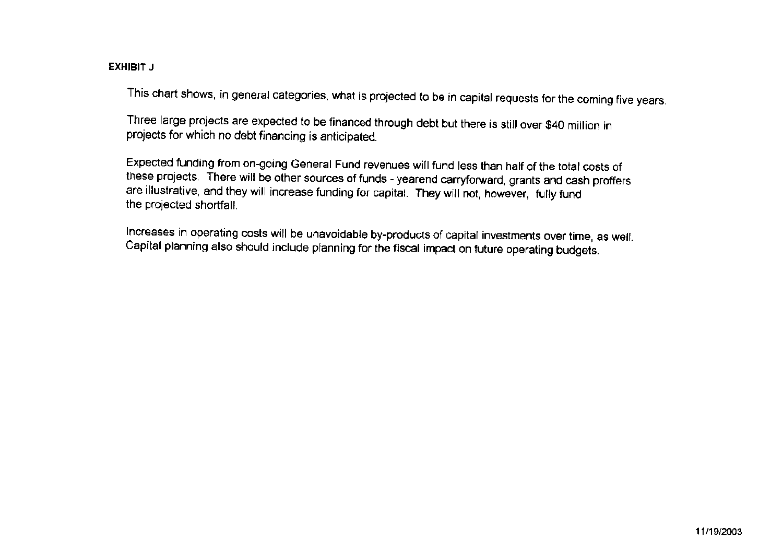# EXHIBIT J

This chart shows, in general categories, what is projected to be in capital requests for the coming five years.

Three large projects are expected to be financed through debt but there is still over \$40 million in projects for which no debt financing is anticipated.

Expected funding from on-going General Fund revenues will fund less than half of the total costs of these projects. There will be other sources of funds - yearend carryforward, grants and cash proffers are illustrative, and they will increase funding for capital. They will not, however, fully fund the projected shortfall.

Increases in operating costs will be unavoidable by-products of capital investments over time, as well. Capital planning also should include planning for the fiscal impact on future operating budgets.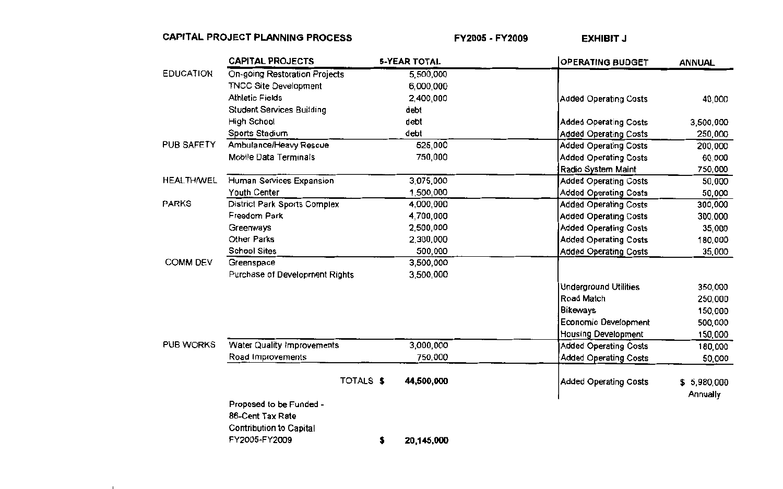# CAPITAL PROJECT PLANNING PROCESS

**COLLECTION** 

FY2005 - FY2009

**EXHIBIT J** 

|                   | <b>CAPITAL PROJECTS</b>        | <b>5-YEAR TOTAL</b> | <b>OPERATING BUDGET</b>      | <b>ANNUAL</b> |
|-------------------|--------------------------------|---------------------|------------------------------|---------------|
| <b>EDUCATION</b>  | On-going Restoration Projects  | 5,500,000           |                              |               |
|                   | <b>TNCC Site Development</b>   | 6,000,000           |                              |               |
|                   | <b>Athletic Fields</b>         | 2,400,000           | Added Operating Costs        | 40,000        |
|                   | Student Services Building      | debt                |                              |               |
|                   | High School                    | debt                | <b>Added Operating Costs</b> | 3,500,000     |
|                   | Sports Stadium                 | debt                | <b>Added Operating Costs</b> | 250,000       |
| PUB SAFETY        | Ambulance/Heavy Rescue         | 525,000             | <b>Added Operating Costs</b> | 200,000       |
|                   | Mobile Data Terminals          | 750,000             | <b>Added Operating Costs</b> | 60,000        |
|                   |                                |                     | Radio System Maint           | 750,000       |
| <b>HEALTH/WEL</b> | Human Services Expansion       | 3,075,000           | <b>Added Operating Costs</b> | 50,000        |
|                   | Youth Center                   | 1,500,000           | <b>Added Operating Costs</b> | 50,000        |
| <b>PARKS</b>      | District Park Sports Complex   | 4,000,000           | <b>Added Operating Costs</b> | 300,000       |
|                   | Freedom Park                   | 4,700,000           | <b>Added Operating Costs</b> | 300,000       |
|                   | Greenways                      | 2,500,000           | <b>Added Operating Costs</b> | 35,000        |
|                   | Other Parks                    | 2,300,000           | <b>Added Operating Costs</b> | 180,000       |
|                   | School Sites                   | 500,000             | <b>Added Operating Costs</b> | 35,000        |
| <b>COMM DEV</b>   | Greenspace                     | 3,500,000           |                              |               |
|                   | Purchase of Development Rights | 3,500,000           |                              |               |
|                   |                                |                     | <b>Underground Utilities</b> | 350,000       |
|                   |                                |                     | <b>Road Match</b>            | 250,000       |
|                   |                                |                     | Bikeways                     | 150,000       |
|                   |                                |                     | Economic Development         | 500,000       |
|                   |                                |                     | <b>Housing Development</b>   | 150,000       |
| <b>PUB WORKS</b>  | Water Quality Improvements     | 3,000,000           | <b>Added Operating Costs</b> | 180,000       |
|                   | Road Improvements              | 750,000             | <b>Added Operating Costs</b> | 50,000        |
|                   | TOTALS \$                      | 44,500,000          | Added Operating Costs        | \$5,980,000   |
|                   |                                |                     |                              |               |
|                   | Proposed to be Funded -        |                     |                              | Annually      |
|                   | 86-Cent Tax Rate               |                     |                              |               |
|                   | <b>Contribution to Capital</b> |                     |                              |               |
|                   | FY2005-FY2009                  | 20,145,000<br>5     |                              |               |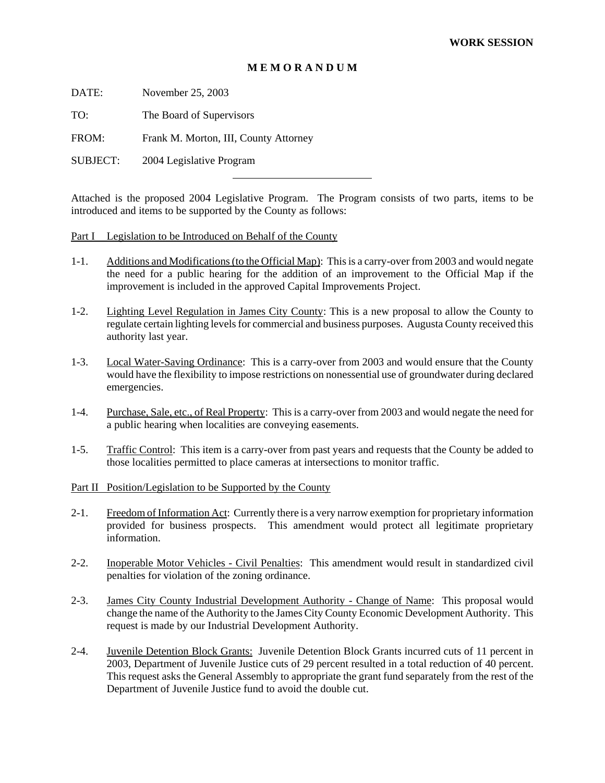### **M E M O R A N D U M**

DATE: November 25, 2003

TO: The Board of Supervisors

FROM: Frank M. Morton, III, County Attorney

SUBJECT: 2004 Legislative Program

Attached is the proposed 2004 Legislative Program. The Program consists of two parts, items to be introduced and items to be supported by the County as follows:

Part I Legislation to be Introduced on Behalf of the County

l

- 1-1. Additions and Modifications (to the Official Map): This is a carry-over from 2003 and would negate the need for a public hearing for the addition of an improvement to the Official Map if the improvement is included in the approved Capital Improvements Project.
- 1-2. Lighting Level Regulation in James City County: This is a new proposal to allow the County to regulate certain lighting levels for commercial and business purposes. Augusta County received this authority last year.
- 1-3. Local Water-Saving Ordinance: This is a carry-over from 2003 and would ensure that the County would have the flexibility to impose restrictions on nonessential use of groundwater during declared emergencies.
- 1-4. Purchase, Sale, etc., of Real Property: This is a carry-over from 2003 and would negate the need for a public hearing when localities are conveying easements.
- 1-5. Traffic Control: This item is a carry-over from past years and requests that the County be added to those localities permitted to place cameras at intersections to monitor traffic.

Part II Position/Legislation to be Supported by the County

- 2-1. Freedom of Information Act: Currently there is a very narrow exemption for proprietary information provided for business prospects. This amendment would protect all legitimate proprietary information.
- 2-2. Inoperable Motor Vehicles Civil Penalties: This amendment would result in standardized civil penalties for violation of the zoning ordinance.
- 2-3. James City County Industrial Development Authority Change of Name: This proposal would change the name of the Authority to the James City County Economic Development Authority. This request is made by our Industrial Development Authority.
- 2-4. Juvenile Detention Block Grants: Juvenile Detention Block Grants incurred cuts of 11 percent in 2003, Department of Juvenile Justice cuts of 29 percent resulted in a total reduction of 40 percent. This request asks the General Assembly to appropriate the grant fund separately from the rest of the Department of Juvenile Justice fund to avoid the double cut.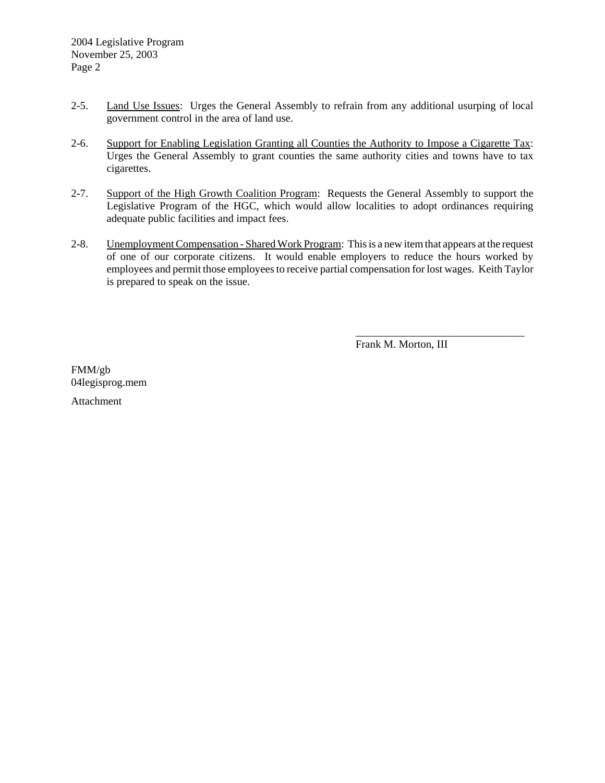- 2-5. Land Use Issues: Urges the General Assembly to refrain from any additional usurping of local government control in the area of land use.
- 2-6. Support for Enabling Legislation Granting all Counties the Authority to Impose a Cigarette Tax: Urges the General Assembly to grant counties the same authority cities and towns have to tax cigarettes.
- 2-7. Support of the High Growth Coalition Program: Requests the General Assembly to support the Legislative Program of the HGC, which would allow localities to adopt ordinances requiring adequate public facilities and impact fees.
- 2-8. Unemployment Compensation Shared Work Program: This is a new item that appears at the request of one of our corporate citizens. It would enable employers to reduce the hours worked by employees and permit those employees to receive partial compensation for lost wages. Keith Taylor is prepared to speak on the issue.

Frank M. Morton, III

\_\_\_\_\_\_\_\_\_\_\_\_\_\_\_\_\_\_\_\_\_\_\_\_\_\_\_\_\_\_\_

FMM/gb 04legisprog.mem

Attachment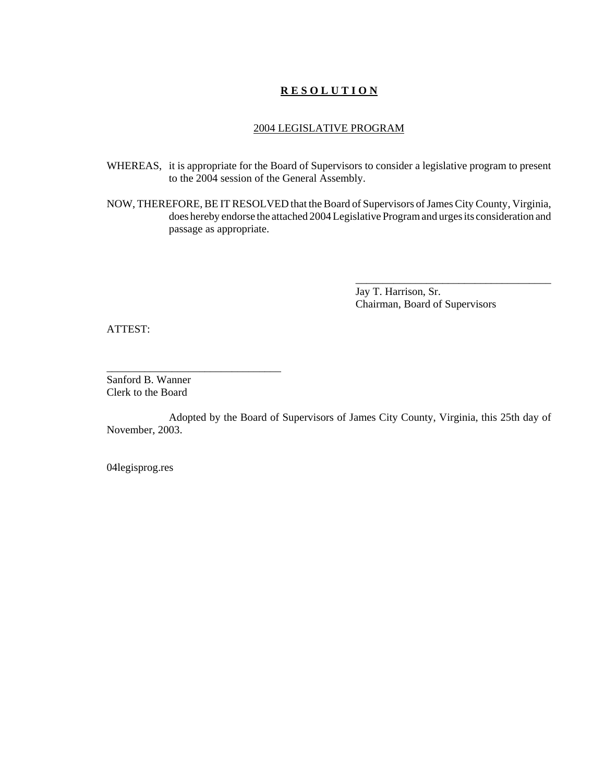## **R E S O L U T I O N**

#### 2004 LEGISLATIVE PROGRAM

- WHEREAS, it is appropriate for the Board of Supervisors to consider a legislative program to present to the 2004 session of the General Assembly.
- NOW, THEREFORE, BE IT RESOLVED that the Board of Supervisors of James City County, Virginia, does hereby endorse the attached 2004 Legislative Program and urges its consideration and passage as appropriate.

Jay T. Harrison, Sr. Chairman, Board of Supervisors

\_\_\_\_\_\_\_\_\_\_\_\_\_\_\_\_\_\_\_\_\_\_\_\_\_\_\_\_\_\_\_\_\_\_\_\_

ATTEST:

Sanford B. Wanner Clerk to the Board

\_\_\_\_\_\_\_\_\_\_\_\_\_\_\_\_\_\_\_\_\_\_\_\_\_\_\_\_\_\_\_\_

Adopted by the Board of Supervisors of James City County, Virginia, this 25th day of November, 2003.

04legisprog.res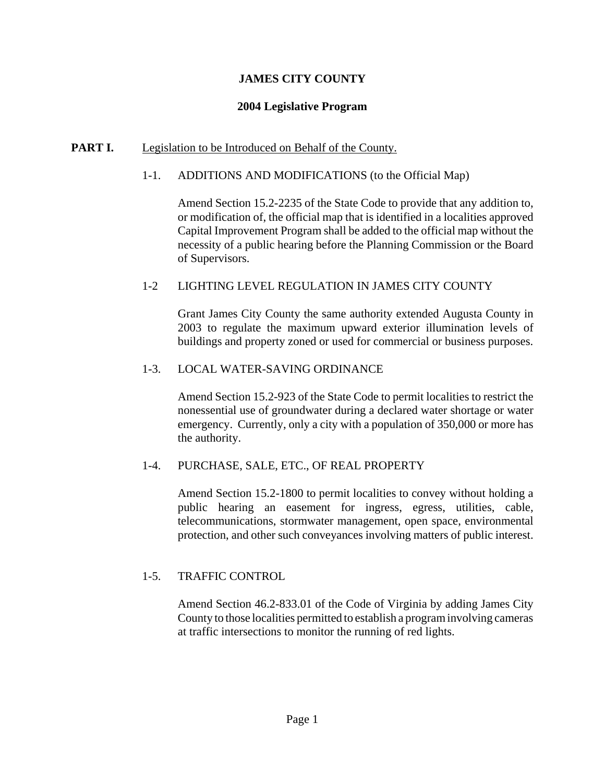# **JAMES CITY COUNTY**

# **2004 Legislative Program**

# **PART I.** Legislation to be Introduced on Behalf of the County.

# 1-1. ADDITIONS AND MODIFICATIONS (to the Official Map)

Amend Section 15.2-2235 of the State Code to provide that any addition to, or modification of, the official map that is identified in a localities approved Capital Improvement Program shall be added to the official map without the necessity of a public hearing before the Planning Commission or the Board of Supervisors.

# 1-2 LIGHTING LEVEL REGULATION IN JAMES CITY COUNTY

Grant James City County the same authority extended Augusta County in 2003 to regulate the maximum upward exterior illumination levels of buildings and property zoned or used for commercial or business purposes.

## 1-3. LOCAL WATER-SAVING ORDINANCE

Amend Section 15.2-923 of the State Code to permit localities to restrict the nonessential use of groundwater during a declared water shortage or water emergency. Currently, only a city with a population of 350,000 or more has the authority.

# 1-4. PURCHASE, SALE, ETC., OF REAL PROPERTY

Amend Section 15.2-1800 to permit localities to convey without holding a public hearing an easement for ingress, egress, utilities, cable, telecommunications, stormwater management, open space, environmental protection, and other such conveyances involving matters of public interest.

# 1-5. TRAFFIC CONTROL

Amend Section 46.2-833.01 of the Code of Virginia by adding James City County to those localities permitted to establish a program involving cameras at traffic intersections to monitor the running of red lights.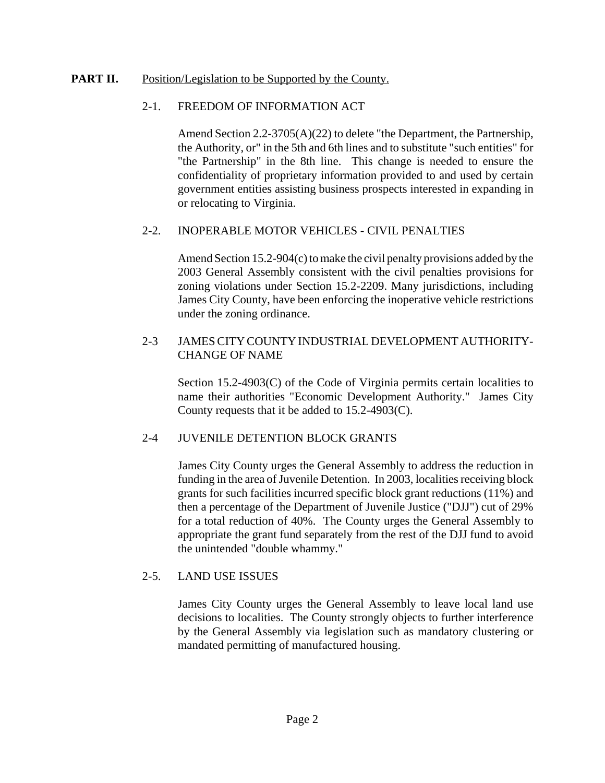# **PART II.** Position/Legislation to be Supported by the County.

# 2-1. FREEDOM OF INFORMATION ACT

Amend Section 2.2-3705(A)(22) to delete "the Department, the Partnership, the Authority, or" in the 5th and 6th lines and to substitute "such entities" for "the Partnership" in the 8th line. This change is needed to ensure the confidentiality of proprietary information provided to and used by certain government entities assisting business prospects interested in expanding in or relocating to Virginia.

## 2-2. INOPERABLE MOTOR VEHICLES - CIVIL PENALTIES

Amend Section 15.2-904(c) to make the civil penalty provisions added by the 2003 General Assembly consistent with the civil penalties provisions for zoning violations under Section 15.2-2209. Many jurisdictions, including James City County, have been enforcing the inoperative vehicle restrictions under the zoning ordinance.

# 2-3 JAMES CITY COUNTY INDUSTRIAL DEVELOPMENT AUTHORITY-CHANGE OF NAME

Section 15.2-4903(C) of the Code of Virginia permits certain localities to name their authorities "Economic Development Authority." James City County requests that it be added to 15.2-4903(C).

# 2-4 JUVENILE DETENTION BLOCK GRANTS

James City County urges the General Assembly to address the reduction in funding in the area of Juvenile Detention. In 2003, localities receiving block grants for such facilities incurred specific block grant reductions (11%) and then a percentage of the Department of Juvenile Justice ("DJJ") cut of 29% for a total reduction of 40%. The County urges the General Assembly to appropriate the grant fund separately from the rest of the DJJ fund to avoid the unintended "double whammy."

# 2-5. LAND USE ISSUES

James City County urges the General Assembly to leave local land use decisions to localities. The County strongly objects to further interference by the General Assembly via legislation such as mandatory clustering or mandated permitting of manufactured housing.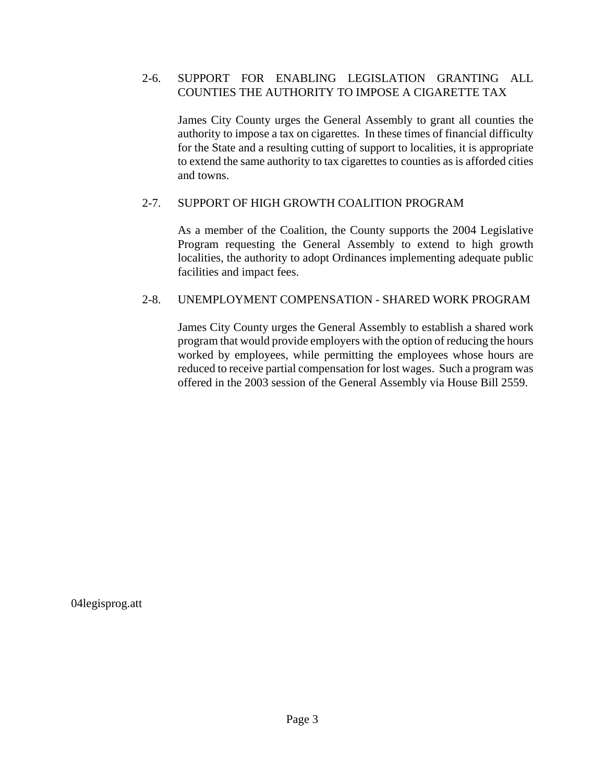# 2-6. SUPPORT FOR ENABLING LEGISLATION GRANTING ALL COUNTIES THE AUTHORITY TO IMPOSE A CIGARETTE TAX

James City County urges the General Assembly to grant all counties the authority to impose a tax on cigarettes. In these times of financial difficulty for the State and a resulting cutting of support to localities, it is appropriate to extend the same authority to tax cigarettes to counties as is afforded cities and towns.

## 2-7. SUPPORT OF HIGH GROWTH COALITION PROGRAM

As a member of the Coalition, the County supports the 2004 Legislative Program requesting the General Assembly to extend to high growth localities, the authority to adopt Ordinances implementing adequate public facilities and impact fees.

## 2-8. UNEMPLOYMENT COMPENSATION - SHARED WORK PROGRAM

James City County urges the General Assembly to establish a shared work program that would provide employers with the option of reducing the hours worked by employees, while permitting the employees whose hours are reduced to receive partial compensation for lost wages. Such a program was offered in the 2003 session of the General Assembly via House Bill 2559.

04legisprog.att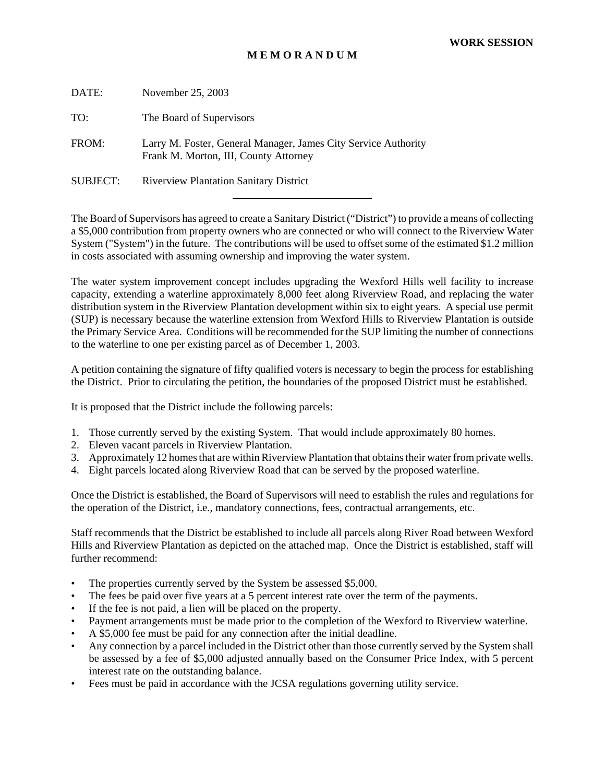## **M E M O R A N D U M**

| DATE:           | November 25, 2003                                                                                       |
|-----------------|---------------------------------------------------------------------------------------------------------|
| TO:             | The Board of Supervisors                                                                                |
| FROM:           | Larry M. Foster, General Manager, James City Service Authority<br>Frank M. Morton, III, County Attorney |
| <b>SUBJECT:</b> | <b>Riverview Plantation Sanitary District</b>                                                           |
|                 |                                                                                                         |

The Board of Supervisors has agreed to create a Sanitary District ("District") to provide a means of collecting a \$5,000 contribution from property owners who are connected or who will connect to the Riverview Water System ("System") in the future. The contributions will be used to offset some of the estimated \$1.2 million in costs associated with assuming ownership and improving the water system.

The water system improvement concept includes upgrading the Wexford Hills well facility to increase capacity, extending a waterline approximately 8,000 feet along Riverview Road, and replacing the water distribution system in the Riverview Plantation development within six to eight years. A special use permit (SUP) is necessary because the waterline extension from Wexford Hills to Riverview Plantation is outside the Primary Service Area. Conditions will be recommended for the SUP limiting the number of connections to the waterline to one per existing parcel as of December 1, 2003.

A petition containing the signature of fifty qualified voters is necessary to begin the process for establishing the District. Prior to circulating the petition, the boundaries of the proposed District must be established.

It is proposed that the District include the following parcels:

- 1. Those currently served by the existing System. That would include approximately 80 homes.
- 2. Eleven vacant parcels in Riverview Plantation.
- 3. Approximately 12 homes that are within Riverview Plantation that obtains their water from private wells.
- 4. Eight parcels located along Riverview Road that can be served by the proposed waterline.

Once the District is established, the Board of Supervisors will need to establish the rules and regulations for the operation of the District, i.e., mandatory connections, fees, contractual arrangements, etc.

Staff recommends that the District be established to include all parcels along River Road between Wexford Hills and Riverview Plantation as depicted on the attached map. Once the District is established, staff will further recommend:

- The properties currently served by the System be assessed \$5,000.
- The fees be paid over five years at a 5 percent interest rate over the term of the payments.
- If the fee is not paid, a lien will be placed on the property.
- Payment arrangements must be made prior to the completion of the Wexford to Riverview waterline.
- A \$5,000 fee must be paid for any connection after the initial deadline.
- Any connection by a parcel included in the District other than those currently served by the System shall be assessed by a fee of \$5,000 adjusted annually based on the Consumer Price Index, with 5 percent interest rate on the outstanding balance.
- Fees must be paid in accordance with the JCSA regulations governing utility service.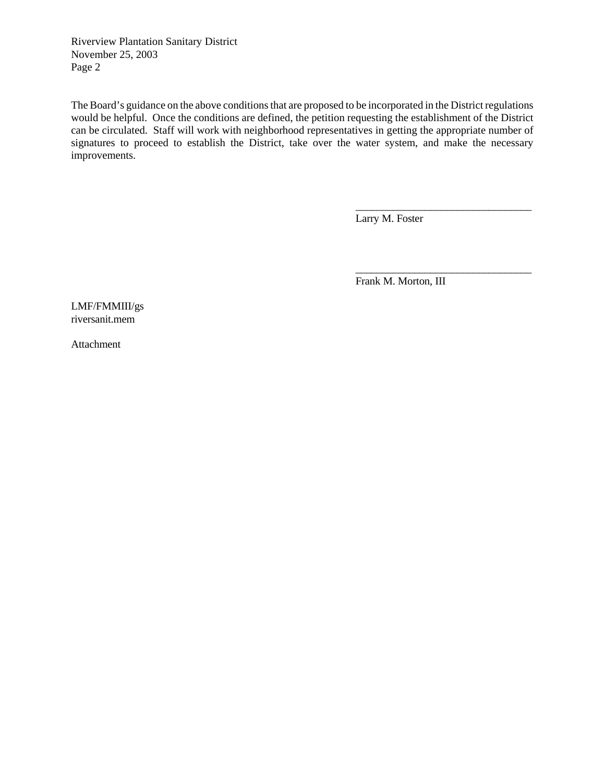Riverview Plantation Sanitary District November 25, 2003 Page 2

The Board's guidance on the above conditions that are proposed to be incorporated in the District regulations would be helpful. Once the conditions are defined, the petition requesting the establishment of the District can be circulated. Staff will work with neighborhood representatives in getting the appropriate number of signatures to proceed to establish the District, take over the water system, and make the necessary improvements.

Larry M. Foster

\_\_\_\_\_\_\_\_\_\_\_\_\_\_\_\_\_\_\_\_\_\_\_\_\_\_\_\_\_\_\_\_\_

\_\_\_\_\_\_\_\_\_\_\_\_\_\_\_\_\_\_\_\_\_\_\_\_\_\_\_\_\_\_\_\_\_

Frank M. Morton, III

LMF/FMMIII/gs riversanit.mem

Attachment